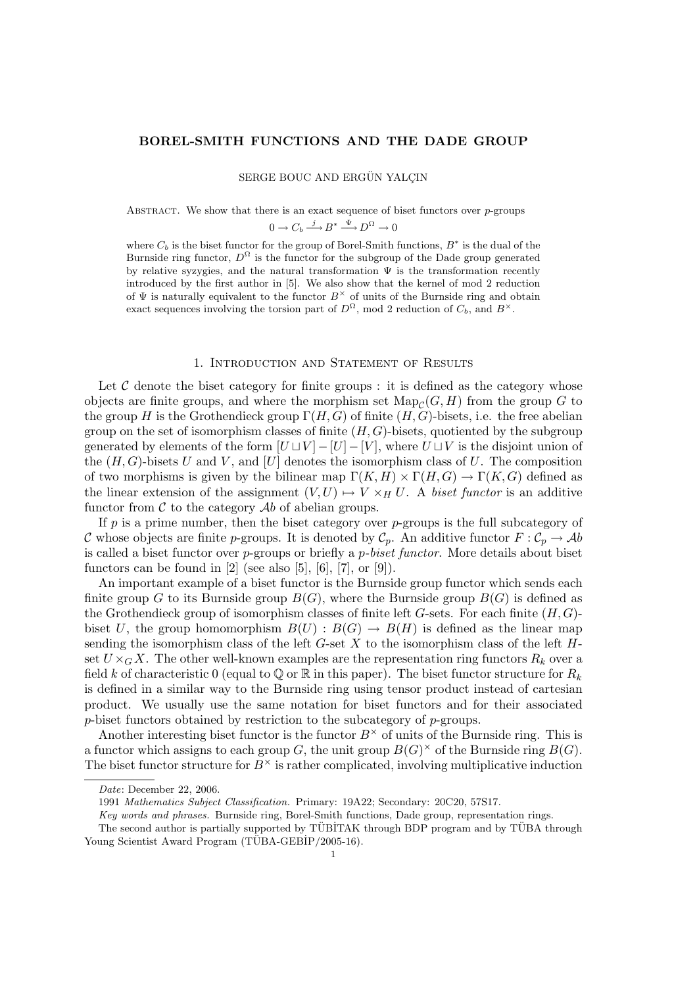# BOREL-SMITH FUNCTIONS AND THE DADE GROUP

SERGE BOUC AND ERGÜN YALCIN

ABSTRACT. We show that there is an exact sequence of biset functors over  $p$ -groups

$$
0 \to C_b \xrightarrow{j} B^* \xrightarrow{\Psi} D^{\Omega} \to 0
$$

where  $C_b$  is the biset functor for the group of Borel-Smith functions,  $B^*$  is the dual of the Burnside ring functor,  $D^{\Omega}$  is the functor for the subgroup of the Dade group generated by relative syzygies, and the natural transformation  $\Psi$  is the transformation recently introduced by the first author in [5]. We also show that the kernel of mod 2 reduction of  $\Psi$  is naturally equivalent to the functor  $B^{\times}$  of units of the Burnside ring and obtain exact sequences involving the torsion part of  $D^{\Omega}$ , mod 2 reduction of  $C_b$ , and  $B^{\times}$ .

# 1. Introduction and Statement of Results

Let  $\mathcal C$  denote the biset category for finite groups : it is defined as the category whose objects are finite groups, and where the morphism set  $\mathrm{Map}_{\mathcal{C}}(G, H)$  from the group G to the group H is the Grothendieck group  $\Gamma(H, G)$  of finite  $(H, G)$ -bisets, i.e. the free abelian group on the set of isomorphism classes of finite  $(H, G)$ -bisets, quotiented by the subgroup generated by elements of the form  $[U \sqcup V] - [U] - [V]$ , where  $U \sqcup V$  is the disjoint union of the  $(H, G)$ -bisets U and V, and [U] denotes the isomorphism class of U. The composition of two morphisms is given by the bilinear map  $\Gamma(K, H) \times \Gamma(H, G) \to \Gamma(K, G)$  defined as the linear extension of the assignment  $(V, U) \rightarrow V \times_H U$ . A biset functor is an additive functor from  $\mathcal C$  to the category  $\mathcal A$ b of abelian groups.

If  $p$  is a prime number, then the biset category over  $p$ -groups is the full subcategory of C whose objects are finite p-groups. It is denoted by  $C_p$ . An additive functor  $F: C_p \to \mathcal{A}b$ is called a biset functor over  $p$ -groups or briefly a  $p$ -biset functor. More details about biset functors can be found in  $[2]$  (see also  $[5]$ ,  $[6]$ ,  $[7]$ , or  $[9]$ ).

An important example of a biset functor is the Burnside group functor which sends each finite group G to its Burnside group  $B(G)$ , where the Burnside group  $B(G)$  is defined as the Grothendieck group of isomorphism classes of finite left G-sets. For each finite  $(H, G)$ biset U, the group homomorphism  $B(U) : B(G) \to B(H)$  is defined as the linear map sending the isomorphism class of the left  $G$ -set X to the isomorphism class of the left  $H$ set  $U \times_G X$ . The other well-known examples are the representation ring functors  $R_k$  over a field k of characteristic 0 (equal to  $\mathbb Q$  or  $\mathbb R$  in this paper). The biset functor structure for  $R_k$ is defined in a similar way to the Burnside ring using tensor product instead of cartesian product. We usually use the same notation for biset functors and for their associated p-biset functors obtained by restriction to the subcategory of p-groups.

Another interesting biset functor is the functor  $B^{\times}$  of units of the Burnside ring. This is a functor which assigns to each group G, the unit group  $B(G)^{\times}$  of the Burnside ring  $B(G)$ . The biset functor structure for  $B^{\times}$  is rather complicated, involving multiplicative induction

Date: December 22, 2006.

<sup>1991</sup> Mathematics Subject Classification. Primary: 19A22; Secondary: 20C20, 57S17.

Key words and phrases. Burnside ring, Borel-Smith functions, Dade group, representation rings.

The second author is partially supported by TÜBİTAK through BDP program and by TÜBA through Young Scientist Award Program  $(TÜBA-GEBIP/2005-16)$ .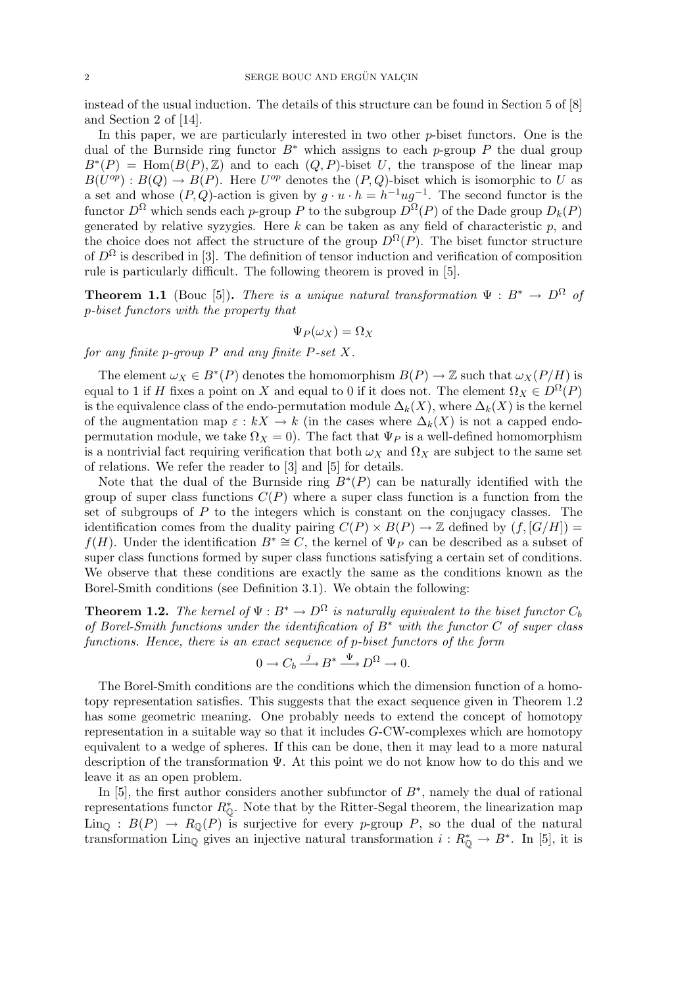instead of the usual induction. The details of this structure can be found in Section 5 of [8] and Section 2 of [14].

In this paper, we are particularly interested in two other  $p$ -biset functors. One is the dual of the Burnside ring functor  $B^*$  which assigns to each p-group P the dual group  $B^*(P) = \text{Hom}(B(P), \mathbb{Z})$  and to each  $(Q, P)$ -biset U, the transpose of the linear map  $B(U^{op}): B(Q) \to B(P)$ . Here  $U^{op}$  denotes the  $(P,Q)$ -biset which is isomorphic to U as a set and whose  $(P, Q)$ -action is given by  $g \cdot u \cdot h = h^{-1} u g^{-1}$ . The second functor is the functor  $D^{\Omega}$  which sends each p-group P to the subgroup  $D^{\Omega}(P)$  of the Dade group  $D_k(P)$ generated by relative syzygies. Here k can be taken as any field of characteristic  $p$ , and the choice does not affect the structure of the group  $D^{\Omega}(P)$ . The biset functor structure of  $D^{\Omega}$  is described in [3]. The definition of tensor induction and verification of composition rule is particularly difficult. The following theorem is proved in [5].

**Theorem 1.1** (Bouc [5]). There is a unique natural transformation  $\Psi : B^* \to D^{\Omega}$  of p-biset functors with the property that

$$
\Psi_P(\omega_X) = \Omega_X
$$

for any finite p-group  $P$  and any finite  $P$ -set  $X$ .

The element  $\omega_X \in B^*(P)$  denotes the homomorphism  $B(P) \to \mathbb{Z}$  such that  $\omega_X(P/H)$  is equal to 1 if H fixes a point on X and equal to 0 if it does not. The element  $\Omega_X \in D^{\Omega}(P)$ is the equivalence class of the endo-permutation module  $\Delta_k(X)$ , where  $\Delta_k(X)$  is the kernel of the augmentation map  $\varepsilon : kX \to k$  (in the cases where  $\Delta_k(X)$  is not a capped endopermutation module, we take  $\Omega_X = 0$ . The fact that  $\Psi_P$  is a well-defined homomorphism is a nontrivial fact requiring verification that both  $\omega_X$  and  $\Omega_X$  are subject to the same set of relations. We refer the reader to [3] and [5] for details.

Note that the dual of the Burnside ring  $B^*(P)$  can be naturally identified with the group of super class functions  $C(P)$  where a super class function is a function from the set of subgroups of  $P$  to the integers which is constant on the conjugacy classes. The identification comes from the duality pairing  $C(P) \times B(P) \to \mathbb{Z}$  defined by  $(f, [G/H]) =$  $f(H)$ . Under the identification  $B^* \cong C$ , the kernel of  $\Psi_P$  can be described as a subset of super class functions formed by super class functions satisfying a certain set of conditions. We observe that these conditions are exactly the same as the conditions known as the Borel-Smith conditions (see Definition 3.1). We obtain the following:

**Theorem 1.2.** The kernel of  $\Psi : B^* \to D^{\Omega}$  is naturally equivalent to the biset functor  $C_b$ of Borel-Smith functions under the identification of  $B^*$  with the functor C of super class functions. Hence, there is an exact sequence of p-biset functors of the form

$$
0 \to C_b \xrightarrow{j} B^* \xrightarrow{\Psi} D^{\Omega} \to 0.
$$

The Borel-Smith conditions are the conditions which the dimension function of a homotopy representation satisfies. This suggests that the exact sequence given in Theorem 1.2 has some geometric meaning. One probably needs to extend the concept of homotopy representation in a suitable way so that it includes G-CW-complexes which are homotopy equivalent to a wedge of spheres. If this can be done, then it may lead to a more natural description of the transformation Ψ. At this point we do not know how to do this and we leave it as an open problem.

In [5], the first author considers another subfunctor of  $B^*$ , namely the dual of rational representations functor  $R^*_{\mathbb{Q}}$ . Note that by the Ritter-Segal theorem, the linearization map  $\text{Lin}_{\mathbb{Q}} : B(P) \rightarrow R_{\mathbb{Q}}(P)$  is surjective for every p-group P, so the dual of the natural transformation Lin<sub>Q</sub> gives an injective natural transformation  $i: R^*_{\mathbb{Q}} \to B^*$ . In [5], it is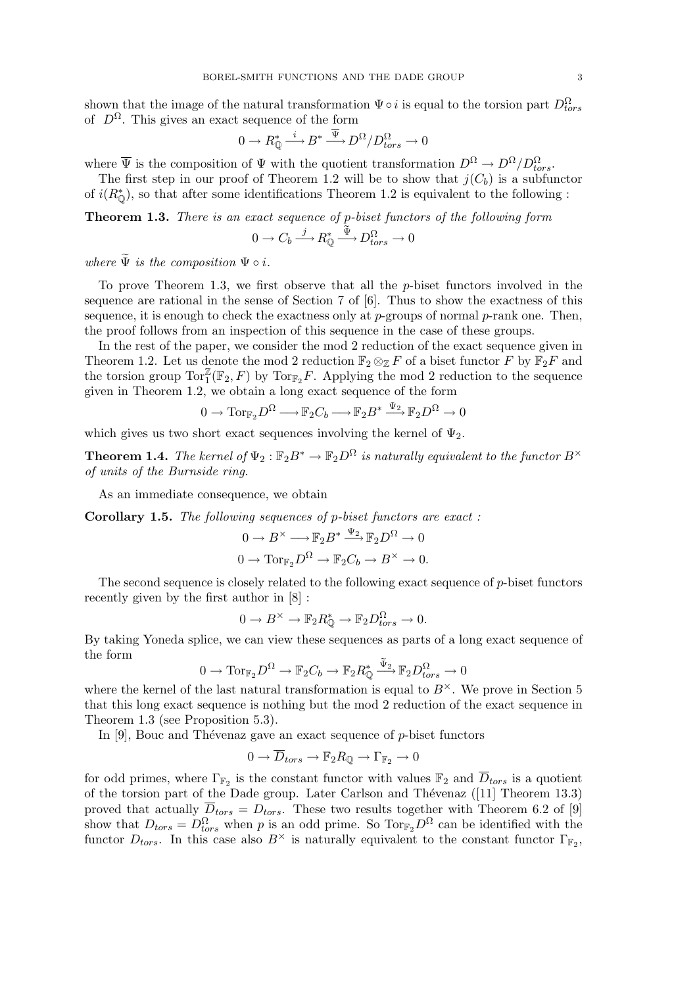shown that the image of the natural transformation  $\Psi \circ i$  is equal to the torsion part  $D_{tors}^{\Omega}$ of  $D^{\Omega}$ . This gives an exact sequence of the form

$$
0 \to R^*_{\mathbb{Q}} \stackrel{i}{\longrightarrow} B^* \stackrel{\overline{\Psi}}{\longrightarrow} D^{\Omega}/D_{tors}^{\Omega} \to 0
$$

where  $\overline{\Psi}$  is the composition of  $\Psi$  with the quotient transformation  $D^{\Omega} \to D^{\Omega}/D_{tors}^{\Omega}$ .

The first step in our proof of Theorem 1.2 will be to show that  $j(C_b)$  is a subfunctor of  $i(R^*_{\mathbb{Q}})$ , so that after some identifications Theorem 1.2 is equivalent to the following :

Theorem 1.3. There is an exact sequence of p-biset functors of the following form

$$
0 \to C_b \xrightarrow{j} R^*_{\mathbb{Q}} \xrightarrow{\tilde{\Psi}} D^{\Omega}_{tors} \to 0
$$

where  $\Psi$  is the composition  $\Psi \circ i$ .

To prove Theorem 1.3, we first observe that all the  $p$ -biset functors involved in the sequence are rational in the sense of Section 7 of [6]. Thus to show the exactness of this sequence, it is enough to check the exactness only at  $p$ -groups of normal  $p$ -rank one. Then, the proof follows from an inspection of this sequence in the case of these groups.

In the rest of the paper, we consider the mod 2 reduction of the exact sequence given in Theorem 1.2. Let us denote the mod 2 reduction  $\mathbb{F}_2 \otimes_{\mathbb{Z}} F$  of a biset functor F by  $\mathbb{F}_2 F$  and the torsion group  $\text{Tor}_{1}^{\mathbb{Z}}(\mathbb{F}_{2}, F)$  by  $\text{Tor}_{\mathbb{F}_{2}}F$ . Applying the mod 2 reduction to the sequence given in Theorem 1.2, we obtain a long exact sequence of the form

$$
0 \to \operatorname{Tor}_{\mathbb{F}_2} D^{\Omega} \longrightarrow \mathbb{F}_2 C_b \longrightarrow \mathbb{F}_2 B^* \xrightarrow{\Psi_2} \mathbb{F}_2 D^{\Omega} \to 0
$$

which gives us two short exact sequences involving the kernel of  $\Psi_2$ .

**Theorem 1.4.** The kernel of  $\Psi_2 : \mathbb{F}_2 B^* \to \mathbb{F}_2 D^{\Omega}$  is naturally equivalent to the functor  $B^{\times}$ of units of the Burnside ring.

As an immediate consequence, we obtain

Corollary 1.5. The following sequences of p-biset functors are exact :

$$
0 \to B^{\times} \longrightarrow \mathbb{F}_2 B^* \xrightarrow{\Psi_2} \mathbb{F}_2 D^{\Omega} \to 0
$$
  

$$
0 \to \text{Tor}_{\mathbb{F}_2} D^{\Omega} \to \mathbb{F}_2 C_b \to B^{\times} \to 0.
$$

The second sequence is closely related to the following exact sequence of  $p$ -biset functors recently given by the first author in [8] :

$$
0 \to B^{\times} \to \mathbb{F}_2 R_{\mathbb{Q}}^* \to \mathbb{F}_2 D_{tors}^{\Omega} \to 0.
$$

By taking Yoneda splice, we can view these sequences as parts of a long exact sequence of the form

$$
0 \to \operatorname{Tor}_{\mathbb{F}_2} D^{\Omega} \to \mathbb{F}_2 C_b \to \mathbb{F}_2 R^*_{\mathbb{Q}} \xrightarrow{\tilde{\Psi}_2} \mathbb{F}_2 D^{\Omega}_{tors} \to 0
$$

where the kernel of the last natural transformation is equal to  $B^{\times}$ . We prove in Section 5 that this long exact sequence is nothing but the mod 2 reduction of the exact sequence in Theorem 1.3 (see Proposition 5.3).

In  $[9]$ , Bouc and Thévenaz gave an exact sequence of p-biset functors

$$
0 \to \overline{D}_{tors} \to \mathbb{F}_2 R_{\mathbb{Q}} \to \Gamma_{\mathbb{F}_2} \to 0
$$

for odd primes, where  $\Gamma_{\mathbb{F}_2}$  is the constant functor with values  $\mathbb{F}_2$  and  $\overline{D}_{tors}$  is a quotient of the torsion part of the Dade group. Later Carlson and Thévenaz  $([11]$  Theorem 13.3) proved that actually  $\overline{D}_{tors} = D_{tors}$ . These two results together with Theorem 6.2 of [9] show that  $D_{tors} = D_{tors}^{\Omega}$  when p is an odd prime. So  $\text{Tor}_{\mathbb{F}_2}D^{\Omega}$  can be identified with the functor  $D_{tors}$ . In this case also  $B^{\times}$  is naturally equivalent to the constant functor  $\Gamma_{\mathbb{F}_2}$ ,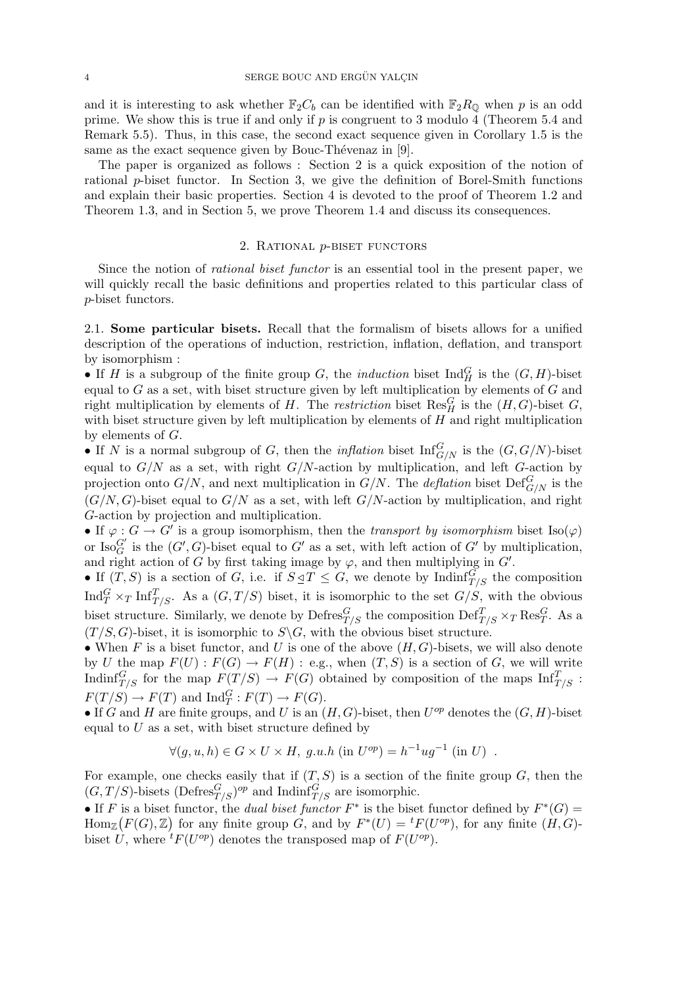and it is interesting to ask whether  $\mathbb{F}_2 C_b$  can be identified with  $\mathbb{F}_2 R_0$  when p is an odd prime. We show this is true if and only if  $p$  is congruent to 3 modulo 4 (Theorem 5.4 and Remark 5.5). Thus, in this case, the second exact sequence given in Corollary 1.5 is the same as the exact sequence given by Bouc-Thévenaz in  $[9]$ .

The paper is organized as follows : Section 2 is a quick exposition of the notion of rational p-biset functor. In Section 3, we give the definition of Borel-Smith functions and explain their basic properties. Section 4 is devoted to the proof of Theorem 1.2 and Theorem 1.3, and in Section 5, we prove Theorem 1.4 and discuss its consequences.

### 2. RATIONAL *p*-BISET FUNCTORS

Since the notion of rational biset functor is an essential tool in the present paper, we will quickly recall the basic definitions and properties related to this particular class of p-biset functors.

2.1. Some particular bisets. Recall that the formalism of bisets allows for a unified description of the operations of induction, restriction, inflation, deflation, and transport by isomorphism :

• If H is a subgroup of the finite group G, the *induction* biset  $\text{Ind}_{H}^{G}$  is the  $(G, H)$ -biset equal to  $G$  as a set, with biset structure given by left multiplication by elements of  $G$  and right multiplication by elements of H. The restriction biset  $\text{Res}_{H}^{G}$  is the  $(H, G)$ -biset G, with biset structure given by left multiplication by elements of  $H$  and right multiplication by elements of G.

• If N is a normal subgroup of G, then the *inflation* biset  $\text{Inf}_{G/N}^G$  is the  $(G, G/N)$ -biset equal to  $G/N$  as a set, with right  $G/N$ -action by multiplication, and left G-action by projection onto  $G/N$ , and next multiplication in  $G/N$ . The *deflation* biset  $\mathrm{Def}_{G/N}^G$  is the  $(G/N, G)$ -biset equal to  $G/N$  as a set, with left  $G/N$ -action by multiplication, and right G-action by projection and multiplication.

• If  $\varphi : G \to G'$  is a group isomorphism, then the *transport by isomorphism* biset Iso( $\varphi$ ) or  $\text{Iso}_G^{G'}$  is the  $(G', G)$ -biset equal to  $G'$  as a set, with left action of  $G'$  by multiplication, and right action of G by first taking image by  $\varphi$ , and then multiplying in  $G'$ .

• If  $(T, S)$  is a section of G, i.e. if  $S \subseteq T \subseteq G$ , we denote by Indinf $_{T/S}^G$  the composition Ind ${}^{G}_{T} \times_{T} \text{Inf}^{T}_{T/S}$ . As a  $(G, T/S)$  biset, it is isomorphic to the set  $G/S$ , with the obvious biset structure. Similarly, we denote by  $\text{Defres}_{T/S}^G$  the composition  $\text{Def}_{T/S}^T \times_T \text{Res}_T^G$ . As a  $(T/S, G)$ -biset, it is isomorphic to  $S\backslash G$ , with the obvious biset structure.

• When F is a biset functor, and U is one of the above  $(H, G)$ -bisets, we will also denote by U the map  $F(U) : F(G) \to F(H) : e.g.,$  when  $(T, S)$  is a section of G, we will write Indinf ${}_{T/S}^G$  for the map  $F(T/S) \to F(G)$  obtained by composition of the maps  $\text{Inf}_{T/S}^T$ :  $F(T/S) \to F(T)$  and  $\text{Ind}_T^G : F(T) \to F(G)$ .

• If G and H are finite groups, and U is an  $(H, G)$ -biset, then  $U^{op}$  denotes the  $(G, H)$ -biset equal to  $U$  as a set, with biset structure defined by

$$
\forall (g, u, h) \in G \times U \times H, g.u.h \text{ (in } U^{op}) = h^{-1}ug^{-1} \text{ (in } U) .
$$

For example, one checks easily that if  $(T, S)$  is a section of the finite group  $G$ , then the  $(G, T/S)$ -bisets  $(\text{Defres}^G_{T/S})^{op}$  and  $\text{Indinf}^G_{T/S}$  are isomorphic.

• If F is a biset functor, the *dual biset functor*  $F^*$  is the biset functor defined by  $F^*(G) =$  $\text{Hom}_{\mathbb{Z}}(F(G),\mathbb{Z})$  for any finite group G, and by  $F^*(U) = {}^t F(U^{op})$ , for any finite  $(H, G)$ biset U, where  ${}^{t}F(U^{op})$  denotes the transposed map of  $F(U^{op})$ .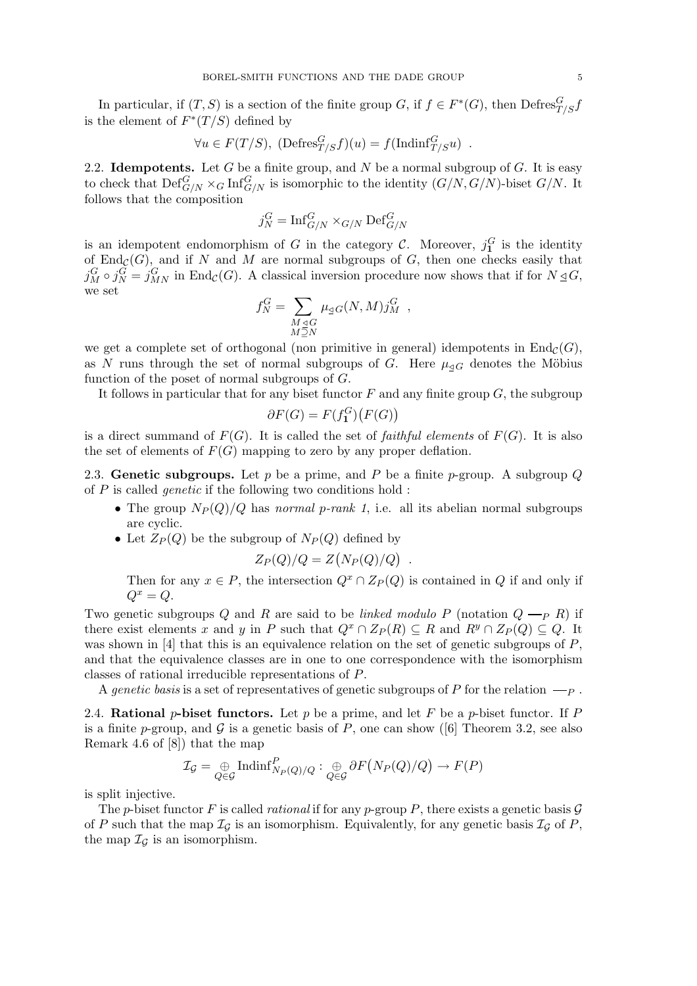In particular, if  $(T, S)$  is a section of the finite group G, if  $f \in F^*(G)$ , then  $\text{Defres}^G_{T/S}f$ is the element of  $F^*(T/S)$  defined by

$$
\forall u \in F(T/S), \ (\text{Defres}^G_{T/S}f)(u) = f(\text{Indinf}^G_{T/S}u) \ .
$$

2.2. Idempotents. Let G be a finite group, and N be a normal subgroup of  $G$ . It is easy to check that  $\mathrm{Def}_{G/N}^G \times_G \mathrm{Inf}_{G/N}^G$  is isomorphic to the identity  $(G/N, G/N)$ -biset  $G/N$ . It follows that the composition

$$
j_N^G = \operatorname{Inf}_{G/N}^G \times_{G/N} \operatorname{Def}_{G/N}^G
$$

is an idempotent endomorphism of G in the category C. Moreover,  $j_1^G$  is the identity of  $\text{End}_{\mathcal{C}}(G)$ , and if N and M are normal subgroups of G, then one checks easily that  $j_M^G \circ j_N^G = j_{MN}^G$  in End<sub>C</sub>(G). A classical inversion procedure now shows that if for  $N \leq G$ , we set  $\overline{\phantom{a}}$ 

$$
f_N^G = \sum_{\substack{M \trianglelefteq G \\ M \supseteq N}} \mu_{\trianglelefteq G}(N, M) j_M^G \ ,
$$

we get a complete set of orthogonal (non primitive in general) idempotents in  $\text{End}_{\mathcal{C}}(G)$ , as N runs through the set of normal subgroups of G. Here  $\mu_{\triangleleft G}$  denotes the Möbius function of the poset of normal subgroups of G.

It follows in particular that for any biset functor  $F$  and any finite group  $G$ , the subgroup ¡ ¢

$$
\partial F(G) = F(f_1^G)\big(F(G)\big)
$$

is a direct summand of  $F(G)$ . It is called the set of *faithful elements* of  $F(G)$ . It is also the set of elements of  $F(G)$  mapping to zero by any proper deflation.

2.3. Genetic subgroups. Let p be a prime, and P be a finite p-group. A subgroup  $Q$ of  $P$  is called *genetic* if the following two conditions hold :

- The group  $N_P(Q)/Q$  has normal p-rank 1, i.e. all its abelian normal subgroups are cyclic.
- Let  $Z_P(Q)$  be the subgroup of  $N_P(Q)$  defined by ¡

$$
Z_P(Q)/Q = Z(N_P(Q)/Q) .
$$

Then for any  $x \in P$ , the intersection  $Q^x \cap Z_P(Q)$  is contained in Q if and only if  $Q^x = Q.$ 

Two genetic subgroups Q and R are said to be linked modulo P (notation  $Q \longrightarrow R$ ) if there exist elements x and y in P such that  $Q^x \cap Z_P(R) \subseteq R$  and  $R^y \cap Z_P(Q) \subseteq Q$ . It was shown in [4] that this is an equivalence relation on the set of genetic subgroups of  $P$ , and that the equivalence classes are in one to one correspondence with the isomorphism classes of rational irreducible representations of P.

A genetic basis is a set of representatives of genetic subgroups of P for the relation  $\longrightarrow$   $\longrightarrow$ .

2.4. Rational p-biset functors. Let p be a prime, and let F be a p-biset functor. If P is a finite p-group, and G is a genetic basis of P, one can show ([6] Theorem 3.2, see also Remark 4.6 of [8]) that the map

$$
\mathcal{I}_{\mathcal{G}} = \bigoplus_{Q \in \mathcal{G}} \text{Indinf}_{N_P(Q)/Q}^P : \bigoplus_{Q \in \mathcal{G}} \partial F(N_P(Q)/Q) \to F(P)
$$

is split injective.

The p-biset functor F is called *rational* if for any p-group P, there exists a genetic basis  $\mathcal G$ of P such that the map  $\mathcal{I}_{\mathcal{G}}$  is an isomorphism. Equivalently, for any genetic basis  $\mathcal{I}_{\mathcal{G}}$  of P, the map  $\mathcal{I}_G$  is an isomorphism.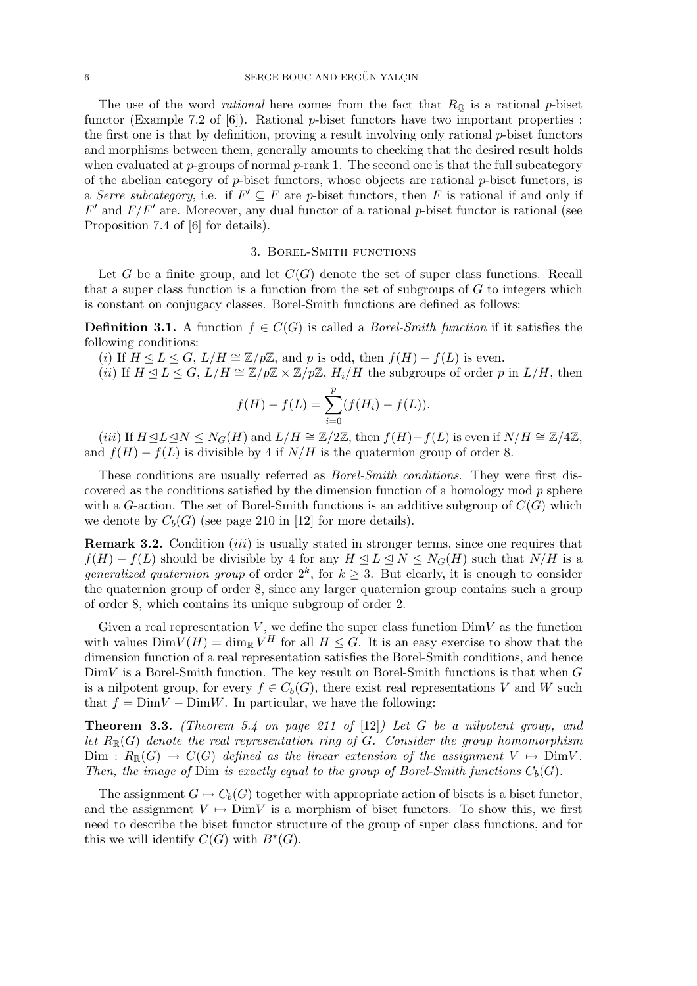The use of the word *rational* here comes from the fact that  $R_{\mathbb{Q}}$  is a rational *p*-biset functor (Example 7.2 of  $[6]$ ). Rational *p*-biset functors have two important properties : the first one is that by definition, proving a result involving only rational  $p$ -biset functors and morphisms between them, generally amounts to checking that the desired result holds when evaluated at  $p$ -groups of normal  $p$ -rank 1. The second one is that the full subcategory of the abelian category of  $p$ -biset functors, whose objects are rational  $p$ -biset functors, is a Serre subcategory, i.e. if  $F' \subseteq F$  are p-biset functors, then F is rational if and only if  $F'$  and  $F/F'$  are. Moreover, any dual functor of a rational p-biset functor is rational (see Proposition 7.4 of [6] for details).

# 3. Borel-Smith functions

Let G be a finite group, and let  $C(G)$  denote the set of super class functions. Recall that a super class function is a function from the set of subgroups of  $G$  to integers which is constant on conjugacy classes. Borel-Smith functions are defined as follows:

**Definition 3.1.** A function  $f \in C(G)$  is called a *Borel-Smith function* if it satisfies the following conditions:

(i) If  $H \le L \le G$ ,  $L/H \cong \mathbb{Z}/p\mathbb{Z}$ , and p is odd, then  $f(H) - f(L)$  is even.

(ii) If  $H \trianglelefteq L \leq G$ ,  $L/H \cong \mathbb{Z}/p\mathbb{Z} \times \mathbb{Z}/p\mathbb{Z}$ ,  $H_i/H$  the subgroups of order p in  $L/H$ , then

$$
f(H) - f(L) = \sum_{i=0}^{p} (f(H_i) - f(L)).
$$

(iii) If  $H \trianglelefteq L \trianglelefteq N \leq N_G(H)$  and  $L/H \cong \mathbb{Z}/2\mathbb{Z}$ , then  $f(H)-f(L)$  is even if  $N/H \cong \mathbb{Z}/4\mathbb{Z}$ , and  $f(H) - f(L)$  is divisible by 4 if  $N/H$  is the quaternion group of order 8.

These conditions are usually referred as Borel-Smith conditions. They were first discovered as the conditions satisfied by the dimension function of a homology mod  $p$  sphere with a G-action. The set of Borel-Smith functions is an additive subgroup of  $C(G)$  which we denote by  $C_b(G)$  (see page 210 in [12] for more details).

Remark 3.2. Condition *(iii)* is usually stated in stronger terms, since one requires that  $f(H) - f(L)$  should be divisible by 4 for any  $H \leq L \leq N \leq N_G(H)$  such that  $N/H$  is a *generalized quaternion group* of order  $2^k$ , for  $k \geq 3$ . But clearly, it is enough to consider the quaternion group of order 8, since any larger quaternion group contains such a group of order 8, which contains its unique subgroup of order 2.

Given a real representation  $V$ , we define the super class function  $DimV$  as the function with values  $\text{Dim } V(H) = \dim_{\mathbb{R}} V^H$  for all  $H \leq G$ . It is an easy exercise to show that the dimension function of a real representation satisfies the Borel-Smith conditions, and hence  $DimV$  is a Borel-Smith function. The key result on Borel-Smith functions is that when G is a nilpotent group, for every  $f \in C_b(G)$ , there exist real representations V and W such that  $f = DimV - DimW$ . In particular, we have the following:

**Theorem 3.3.** (Theorem 5.4 on page 211 of [12]) Let G be a nilpotent group, and let  $R_{\mathbb{R}}(G)$  denote the real representation ring of G. Consider the group homomorphism  $\text{Dim} : R_{\mathbb{R}}(G) \to C(G)$  defined as the linear extension of the assignment  $V \mapsto \text{Dim}V$ . Then, the image of Dim is exactly equal to the group of Borel-Smith functions  $C_b(G)$ .

The assignment  $G \mapsto C_b(G)$  together with appropriate action of bisets is a biset functor, and the assignment  $V \mapsto \text{Dim } V$  is a morphism of biset functors. To show this, we first need to describe the biset functor structure of the group of super class functions, and for this we will identify  $C(G)$  with  $B^*(G)$ .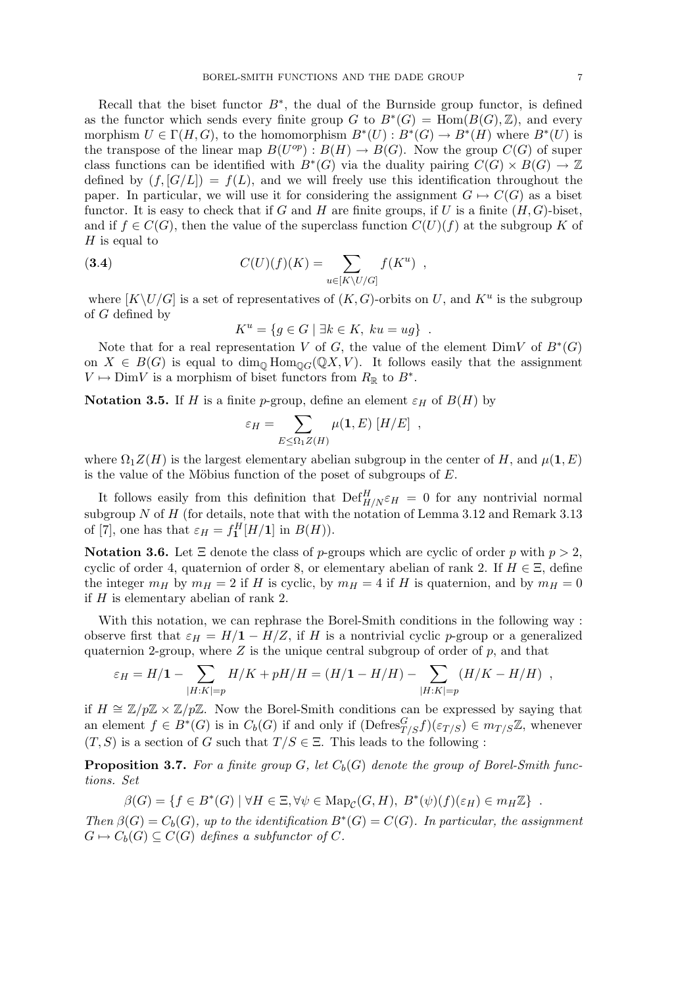Recall that the biset functor  $B^*$ , the dual of the Burnside group functor, is defined as the functor which sends every finite group G to  $B^*(G) = \text{Hom}(B(G), \mathbb{Z})$ , and every morphism  $U \in \Gamma(H, G)$ , to the homomorphism  $B^*(U) : B^*(G) \to B^*(H)$  where  $B^*(U)$  is the transpose of the linear map  $B(U^{op}): B(H) \to B(G)$ . Now the group  $C(G)$  of super class functions can be identified with  $B^*(G)$  via the duality pairing  $C(G) \times B(G) \to \mathbb{Z}$ defined by  $(f, [G/L]) = f(L)$ , and we will freely use this identification throughout the paper. In particular, we will use it for considering the assignment  $G \mapsto C(G)$  as a biset functor. It is easy to check that if G and H are finite groups, if U is a finite  $(H, G)$ -biset, and if  $f \in C(G)$ , then the value of the superclass function  $C(U)(f)$  at the subgroup K of  $H$  is equal to

(3.4) 
$$
C(U)(f)(K) = \sum_{u \in [K \setminus U/G]} f(K^u) ,
$$

where  $[K\setminus U/G]$  is a set of representatives of  $(K, G)$ -orbits on U, and  $K^u$  is the subgroup of G defined by

$$
K^u = \{ g \in G \mid \exists k \in K, \ ku = ug \} .
$$

Note that for a real representation V of G, the value of the element  $DimV$  of  $B^*(G)$ on  $X \in B(G)$  is equal to  $\dim_{\mathbb{Q}} \text{Hom}_{\mathbb{Q}_G}(\mathbb{Q} X, V)$ . It follows easily that the assignment  $V \mapsto \text{Dim } V$  is a morphism of biset functors from  $R_{\mathbb{R}}$  to  $B^*$ .

Notation 3.5. If H is a finite p-group, define an element  $\varepsilon_H$  of  $B(H)$  by

$$
\varepsilon_H = \sum_{E \leq \Omega_1 Z(H)} \mu(1, E) [H/E],
$$

where  $\Omega_1 Z(H)$  is the largest elementary abelian subgroup in the center of H, and  $\mu(1, E)$ is the value of the Möbius function of the poset of subgroups of  $E$ .

It follows easily from this definition that  $\text{Def}_{H/N}^H \varepsilon_H = 0$  for any nontrivial normal subgroup  $N$  of  $H$  (for details, note that with the notation of Lemma 3.12 and Remark 3.13 of [7], one has that  $\varepsilon_H = f_1^H[H/\mathbf{1}]$  in  $B(H)$ ).

Notation 3.6. Let  $\Xi$  denote the class of p-groups which are cyclic of order p with  $p > 2$ , cyclic of order 4, quaternion of order 8, or elementary abelian of rank 2. If  $H \in \Xi$ , define the integer  $m_H$  by  $m_H = 2$  if H is cyclic, by  $m_H = 4$  if H is quaternion, and by  $m_H = 0$ if  $H$  is elementary abelian of rank 2.

With this notation, we can rephrase the Borel-Smith conditions in the following way : observe first that  $\varepsilon_H = H/I - H/Z$ , if H is a nontrivial cyclic p-group or a generalized quaternion 2-group, where  $Z$  is the unique central subgroup of order of  $p$ , and that  $\sum$ 

$$
\varepsilon_H = H/1 - \sum_{|H:K|=p} H/K + pH/H = (H/1 - H/H) - \sum_{|H:K|=p} (H/K - H/H) ,
$$

if  $H \cong \mathbb{Z}/p\mathbb{Z} \times \mathbb{Z}/p\mathbb{Z}$ . Now the Borel-Smith conditions can be expressed by saying that an element  $f \in B^*(G)$  is in  $C_b(G)$  if and only if  $(\text{Defres}^G_{T/S} f)(\varepsilon_{T/S}) \in m_{T/S}\mathbb{Z}$ , whenever  $(T, S)$  is a section of G such that  $T/S \in \Xi$ . This leads to the following:

**Proposition 3.7.** For a finite group G, let  $C_b(G)$  denote the group of Borel-Smith functions. Set

$$
\beta(G) = \{ f \in B^*(G) \mid \forall H \in \Xi, \forall \psi \in \mathrm{Map}_{\mathcal{C}}(G, H), B^*(\psi)(f)(\varepsilon_H) \in m_H \mathbb{Z} \} .
$$

Then  $\beta(G) = C_b(G)$ , up to the identification  $B^*(G) = C(G)$ . In particular, the assignment  $G \mapsto C_b(G) \subseteq C(G)$  defines a subfunctor of C.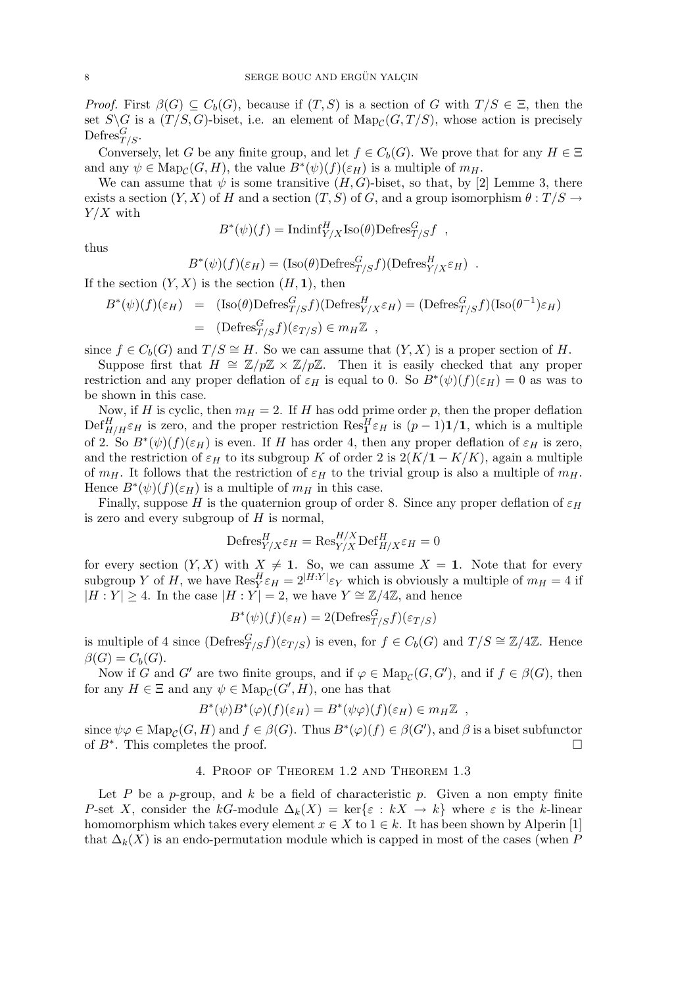*Proof.* First  $\beta(G) \subseteq C_b(G)$ , because if  $(T, S)$  is a section of G with  $T/S \in \Xi$ , then the set  $S \backslash G$  is a  $(T/S, G)$ -biset, i.e. an element of  $\text{Map}_{\mathcal{C}}(G, T/S)$ , whose action is precisely Defres ${}_{T/S}^G$ .

Conversely, let G be any finite group, and let  $f \in C_b(G)$ . We prove that for any  $H \in \Xi$ and any  $\psi \in \mathrm{Map}_{\mathcal{C}}(G, H)$ , the value  $B^*(\psi)(f)(\varepsilon_H)$  is a multiple of  $m_H$ .

We can assume that  $\psi$  is some transitive  $(H, G)$ -biset, so that, by [2] Lemme 3, there exists a section  $(Y, X)$  of H and a section  $(T, S)$  of G, and a group isomorphism  $\theta : T/S \to T/S$  $Y/X$  with

$$
B^*(\psi)(f) = \text{Indinf}_{Y/X}^H \text{Iso}(\theta) \text{Defres}_{T/S}^G f ,
$$

thus

$$
B^*(\psi)(f)(\varepsilon_H) = (\text{Iso}(\theta) \text{Defres}_{T/S}^G f)(\text{Defres}_{Y/X}^H \varepsilon_H) .
$$

If the section  $(Y, X)$  is the section  $(H, 1)$ , then

$$
B^*(\psi)(f)(\varepsilon_H) = (\text{Iso}(\theta)\text{Defres}_{T/S}^G f)(\text{Defres}_{Y/X}^H \varepsilon_H) = (\text{Defres}_{T/S}^G f)(\text{Iso}(\theta^{-1})\varepsilon_H) = (\text{Defres}_{T/S}^G f)(\varepsilon_{T/S}) \in m_H \mathbb{Z} ,
$$

since  $f \in C_b(G)$  and  $T/S \cong H$ . So we can assume that  $(Y, X)$  is a proper section of H.

Suppose first that  $H \cong \mathbb{Z}/p\mathbb{Z} \times \mathbb{Z}/p\mathbb{Z}$ . Then it is easily checked that any proper restriction and any proper deflation of  $\varepsilon_H$  is equal to 0. So  $B^*(\psi)(f)(\varepsilon_H) = 0$  as was to be shown in this case.

Now, if H is cyclic, then  $m_H = 2$ . If H has odd prime order p, then the proper deflation  $\text{Def}_{H/H}^H \varepsilon_H$  is zero, and the proper restriction  $\text{Res}_1^H \varepsilon_H$  is  $(p-1)\mathbf{1}/\mathbf{1}$ , which is a multiple of 2. So  $B^*(\psi)(f)(\varepsilon_H)$  is even. If H has order 4, then any proper deflation of  $\varepsilon_H$  is zero, and the restriction of  $\varepsilon_H$  to its subgroup K of order 2 is  $2(K/\mathbf{1} - K/K)$ , again a multiple of  $m_H$ . It follows that the restriction of  $\varepsilon_H$  to the trivial group is also a multiple of  $m_H$ . Hence  $B^*(\psi)(f)(\varepsilon_H)$  is a multiple of  $m_H$  in this case.

Finally, suppose H is the quaternion group of order 8. Since any proper deflation of  $\varepsilon_H$ is zero and every subgroup of  $H$  is normal,

$$
\text{Defres}_{Y/X}^H \varepsilon_H = \text{Res}_{Y/X}^{H/X} \text{Def}_{H/X}^H \varepsilon_H = 0
$$

for every section  $(Y, X)$  with  $X \neq \mathbf{1}$ . So, we can assume  $X = \mathbf{1}$ . Note that for every subgroup Y of H, we have  $\text{Res}_{Y}^{H} \varepsilon_{H} = 2^{|H:Y|} \varepsilon_{Y}$  which is obviously a multiple of  $m_{H} = 4$  if  $|H: Y| \geq 4$ . In the case  $|H: Y| = 2$ , we have  $Y \cong \mathbb{Z}/4\mathbb{Z}$ , and hence

$$
B^*(\psi)(f)(\varepsilon_H) = 2(\text{Defres}_{T/S}^G f)(\varepsilon_{T/S})
$$

is multiple of 4 since  $(\text{Defres}^G_{T/S}f)(\varepsilon_{T/S})$  is even, for  $f \in C_b(G)$  and  $T/S \cong \mathbb{Z}/4\mathbb{Z}$ . Hence  $\beta(G) = C_b(G).$ 

Now if G and G' are two finite groups, and if  $\varphi \in \text{Map}_{\mathcal{C}}(G, G')$ , and if  $f \in \beta(G)$ , then for any  $H \in \Xi$  and any  $\psi \in \mathrm{Map}_{\mathcal{C}}(G', H)$ , one has that

$$
B^*(\psi)B^*(\varphi)(f)(\varepsilon_H) = B^*(\psi\varphi)(f)(\varepsilon_H) \in m_H \mathbb{Z} ,
$$

since  $\psi\varphi \in \text{Map}_{\mathcal{C}}(G, H)$  and  $f \in \beta(G)$ . Thus  $B^*(\varphi)(f) \in \beta(G')$ , and  $\beta$  is a biset subfunctor of  $B^*$ . This completes the proof.  $\Box$ 

# 4. Proof of Theorem 1.2 and Theorem 1.3

Let P be a p-group, and k be a field of characteristic p. Given a non empty finite P-set X, consider the kG-module  $\Delta_k(X) = \ker\{\varepsilon : kX \to k\}$  where  $\varepsilon$  is the k-linear homomorphism which takes every element  $x \in X$  to  $1 \in k$ . It has been shown by Alperin [1] that  $\Delta_k(X)$  is an endo-permutation module which is capped in most of the cases (when P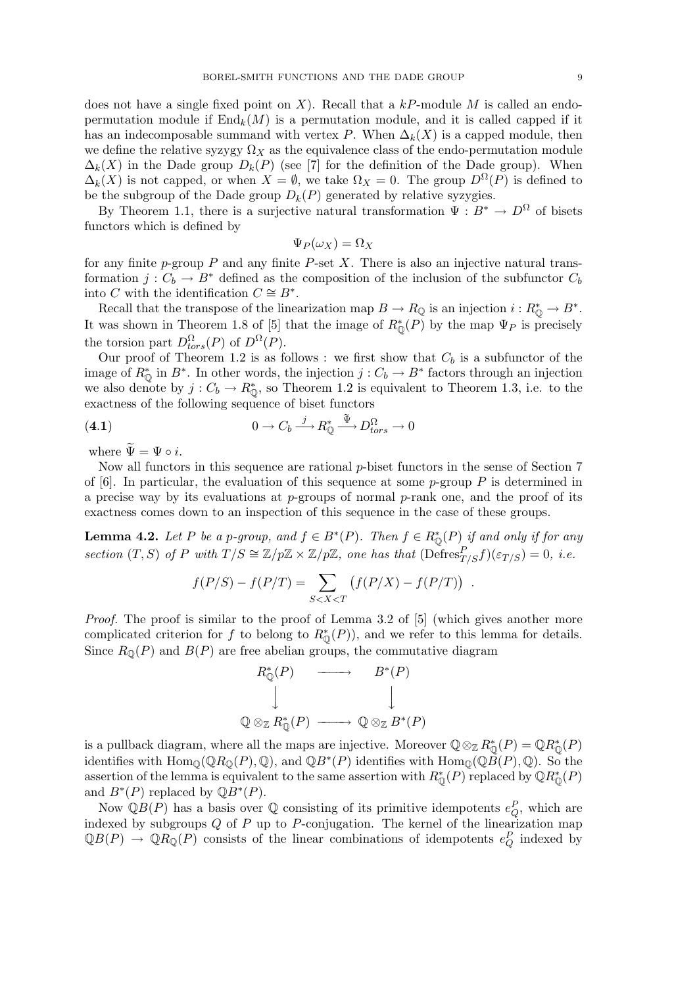does not have a single fixed point on X). Recall that a  $kP$ -module M is called an endopermutation module if  $\text{End}_k(M)$  is a permutation module, and it is called capped if it has an indecomposable summand with vertex P. When  $\Delta_k(X)$  is a capped module, then we define the relative syzygy  $\Omega_X$  as the equivalence class of the endo-permutation module  $\Delta_k(X)$  in the Dade group  $D_k(P)$  (see [7] for the definition of the Dade group). When  $\Delta_k(X)$  is not capped, or when  $X = \emptyset$ , we take  $\Omega_X = 0$ . The group  $D^{\Omega}(P)$  is defined to be the subgroup of the Dade group  $D_k(P)$  generated by relative syzygies.

By Theorem 1.1, there is a surjective natural transformation  $\Psi : B^* \to D^{\Omega}$  of bisets functors which is defined by

$$
\Psi_P(\omega_X) = \Omega_X
$$

for any finite  $p$ -group P and any finite P-set X. There is also an injective natural transformation  $j: C_b \to B^*$  defined as the composition of the inclusion of the subfunctor  $C_b$ into C with the identification  $C \cong B^*$ .

Recall that the transpose of the linearization map  $B \to R_{\mathbb{Q}}$  is an injection  $i: R_{\mathbb{Q}}^* \to B^*$ . It was shown in Theorem 1.8 of [5] that the image of  $R^*_{\mathbb{Q}}(P)$  by the map  $\Psi_P$  is precisely the torsion part  $D_{tors}^{\Omega}(P)$  of  $D^{\Omega}(P)$ .

Our proof of Theorem 1.2 is as follows : we first show that  $C_b$  is a subfunctor of the image of  $R^*_{\mathbb{Q}}$  in  $B^*$ . In other words, the injection  $j: C_b \to B^*$  factors through an injection we also denote by  $j: C_b \to R^*_{\mathbb{Q}}$ , so Theorem 1.2 is equivalent to Theorem 1.3, i.e. to the exactness of the following sequence of biset functors

(4.1) 
$$
0 \to C_b \xrightarrow{j} R^*_{\mathbb{Q}} \xrightarrow{\tilde{\Psi}} D^{\Omega}_{tors} \to 0
$$

where  $\widetilde{\Psi} = \Psi \circ i$ .

Now all functors in this sequence are rational  $p$ -biset functors in the sense of Section  $7$ of [6]. In particular, the evaluation of this sequence at some  $p$ -group P is determined in a precise way by its evaluations at  $p$ -groups of normal  $p$ -rank one, and the proof of its exactness comes down to an inspection of this sequence in the case of these groups.

**Lemma 4.2.** Let P be a p-group, and  $f \in B^*(P)$ . Then  $f \in R^*_{\mathbb{Q}}(P)$  if and only if for any section  $(T, S)$  of P with  $T/S \cong \mathbb{Z}/p\mathbb{Z} \times \mathbb{Z}/p\mathbb{Z}$ , one has that  $(\widetilde{\text{Defres}}_{T/S}^P f)(\varepsilon_{T/S}) = 0$ , i.e.

$$
f(P/S) - f(P/T) = \sum_{S < X < T} \left( f(P/X) - f(P/T) \right) \, .
$$

Proof. The proof is similar to the proof of Lemma 3.2 of [5] (which gives another more complicated criterion for f to belong to  $R^*_{\mathbb{Q}}(P)$ , and we refer to this lemma for details. Since  $R_{\mathbb{Q}}(P)$  and  $B(P)$  are free abelian groups, the commutative diagram



is a pullback diagram, where all the maps are injective. Moreover  $\mathbb{Q} \otimes_{\mathbb{Z}} R_{\mathbb{Q}}^*(P) = \mathbb{Q} R_{\mathbb{Q}}^*(P)$ identifies with  $\text{Hom}_{\mathbb{Q}}(\mathbb{Q}R_{\mathbb{Q}}(P),\mathbb{Q})$ , and  $\mathbb{Q}B^*(P)$  identifies with  $\text{Hom}_{\mathbb{Q}}(\mathbb{Q}\tilde{B}(P),\mathbb{Q})$ . So the assertion of the lemma is equivalent to the same assertion with  $R^*_{\mathbb{Q}}(P)$  replaced by  $\mathbb{Q}R^*_{\mathbb{Q}}(P)$ and  $B^*(P)$  replaced by  $\mathbb{Q}B^*(P)$ .

Now  $\mathbb{Q}B(P)$  has a basis over  $\mathbb Q$  consisting of its primitive idempotents  $e_Q^P$ , which are indexed by subgroups  $Q$  of  $P$  up to  $P$ -conjugation. The kernel of the linearization map  $\mathbb{Q}B(P) \to \mathbb{Q}R_{\mathbb{Q}}(P)$  consists of the linear combinations of idempotents  $e_Q^P$  indexed by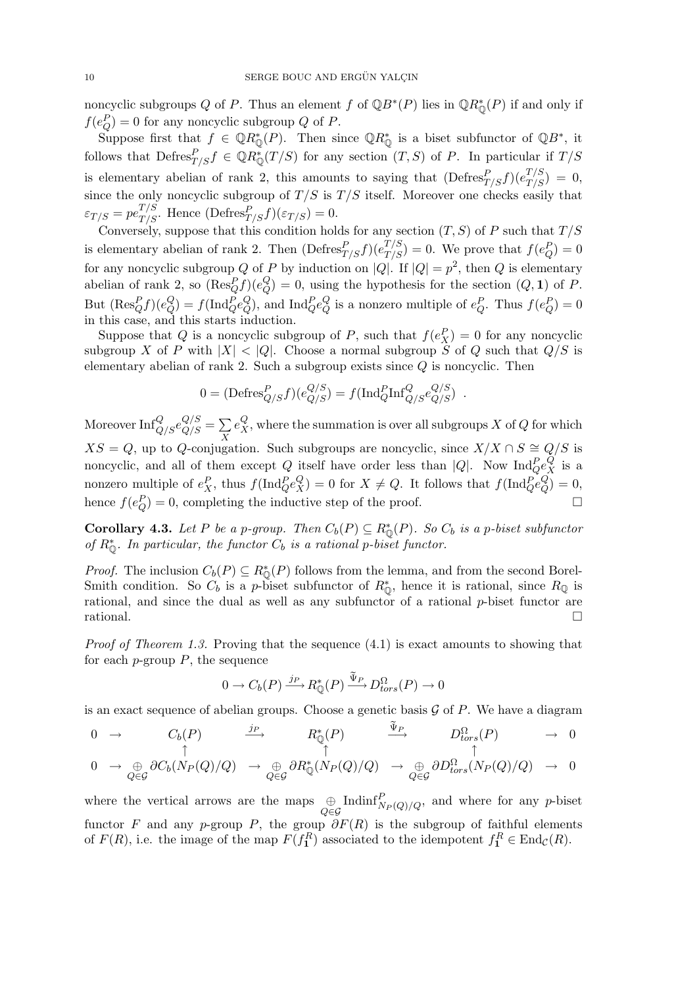noncyclic subgroups Q of P. Thus an element f of  $\mathbb{Q}B^*(P)$  lies in  $\mathbb{Q}R^*_{\mathbb{Q}}(P)$  if and only if  $f(e_Q^P) = 0$  for any noncyclic subgroup Q of P.

Suppose first that  $f \in \mathbb{Q}R_{\mathbb{Q}}^*(P)$ . Then since  $\mathbb{Q}R_{\mathbb{Q}}^*$  is a biset subfunctor of  $\mathbb{Q}B^*$ , it follows that  $\mathrm{Defres}_{T/S}^P f \in \mathbb{Q}R_{\mathbb{Q}}^*(T/S)$  for any section  $(T, S)$  of P. In particular if  $T/S$ is elementary abelian of rank 2, this amounts to saying that  $(\text{Defres}^P_{T/S} f)(e^{T/S}_{T/S}) = 0$ , since the only noncyclic subgroup of  $T/S$  is  $T/S$  itself. Moreover one checks easily that  $\varepsilon_{T/S} = pe^{T/S}_{T/S}$ . Hence  $(\text{Defres}^P_{T/S} f)(\varepsilon_{T/S}) = 0$ .

Conversely, suppose that this condition holds for any section  $(T, S)$  of P such that  $T/S$ is elementary abelian of rank 2. Then  $(\text{Defres}^P_{T/S} f)(e^{T/S}_{T/S}) = 0$ . We prove that  $f(e^P_Q) = 0$ for any noncyclic subgroup Q of P by induction on |Q|. If  $|Q| = p^2$ , then Q is elementary abelian of rank 2, so  $(\text{Res}_Q^P f)(e_Q^Q)$  $Q_Q^Q$  = 0, using the hypothesis for the section  $(Q, 1)$  of P. But  $(\text{Res}_Q^P f)(e_Q^Q)$  $Q_Q^Q$  =  $f(\text{Ind}_Q^P e_Q^Q)$  $Q_Q^Q$ ), and  $\text{Ind}_Q^P e_Q^Q$  $_{Q}^{Q}$  is a nonzero multiple of  $e_{Q}^{P}$ . Thus  $f(e_{Q}^{P}) = 0$ in this case, and this starts induction.

Suppose that Q is a noncyclic subgroup of P, such that  $f(e_X^P) = 0$  for any noncyclic subgroup X of P with  $|X| < |Q|$ . Choose a normal subgroup S of Q such that  $Q/S$  is elementary abelian of rank 2. Such a subgroup exists since  $Q$  is noncyclic. Then

$$
0 = (\text{Defres}_{Q/S}^P f)(e_{Q/S}^{Q/S}) = f(\text{Ind}_Q^P \text{Inf}_{Q/S}^Q e_{Q/S}^{Q/S}) .
$$

Moreover  $\text{Inf}_{Q/S}^Q e_{Q/S}^{Q/S} =$  $\overline{ }$ X  $e_X^Q$ , where the summation is over all subgroups  $X$  of  $Q$  for which  $XS = Q$ , up to Q-conjugation. Such subgroups are noncyclic, since  $X/X \cap S \cong Q/S$  is noncyclic, and all of them except Q itself have order less than  $|Q|$ . Now  $\text{Ind}_Q^P e_X^Q$  is a nonzero multiple of  $e_X^P$ , thus  $f(\text{Ind}_Q^P e_X^Q) = 0$  for  $X \neq Q$ . It follows that  $f(\text{Ind}_Q^P e_Q^Q)$  $Q^Q_Q$ ) = 0, hence  $f(e_Q^P) = 0$ , completing the inductive step of the proof.  $\Box$ 

**Corollary 4.3.** Let P be a p-group. Then  $C_b(P) \subseteq R^*_{\mathbb{Q}}(P)$ . So  $C_b$  is a p-biset subfunctor of  $R^*_{\mathbb{Q}}$ . In particular, the functor  $C_b$  is a rational p-biset functor.

*Proof.* The inclusion  $C_b(P) \subseteq R^*_{\mathbb{Q}}(P)$  follows from the lemma, and from the second Borel-Smith condition. So  $C_b$  is a p-biset subfunctor of  $R^*_{\mathbb{Q}}$ , hence it is rational, since  $R_{\mathbb{Q}}$  is rational, and since the dual as well as any subfunctor of a rational p-biset functor are  $rational.$ 

*Proof of Theorem 1.3.* Proving that the sequence  $(4.1)$  is exact amounts to showing that for each  $p$ -group  $P$ , the sequence

$$
0 \to C_b(P) \xrightarrow{j_P} R^*_{\mathbb{Q}}(P) \xrightarrow{\tilde{\Psi}_P} D^{\Omega}_{tors}(P) \to 0
$$

is an exact sequence of abelian groups. Choose a genetic basis  $G$  of  $P$ . We have a diagram

$$
\begin{array}{ccccccc}\n0 & \to & C_b(P) & \xrightarrow{\quad j_P} & R^*_{\mathbb{Q}}(P) & \xrightarrow{\quad \Psi_P} & D^{\Omega}_{tors}(P) & \to & 0 \\
\uparrow & & \uparrow & & \uparrow & & \uparrow\n\end{array}
$$

$$
0 \rightarrow \bigoplus_{Q \in \mathcal{G}} \partial C_b(N_P(Q)/Q) \rightarrow \bigoplus_{Q \in \mathcal{G}} \partial R^*_{\mathbb{Q}}(N_P(Q)/Q) \rightarrow \bigoplus_{Q \in \mathcal{G}} \partial D^{\Omega}_{tors}(N_P(Q)/Q) \rightarrow 0
$$

where the vertical arrows are the maps  $\bigoplus_{Q\in\mathcal{G}} \text{Indinf}_{N_P(Q)/Q}^P$ , and where for any p-biset functor F and any p-group P, the group  $\partial F(R)$  is the subgroup of faithful elements of  $F(R)$ , i.e. the image of the map  $F(f_1^R)$  associated to the idempotent  $f_1^R \in \text{End}_{\mathcal{C}}(R)$ .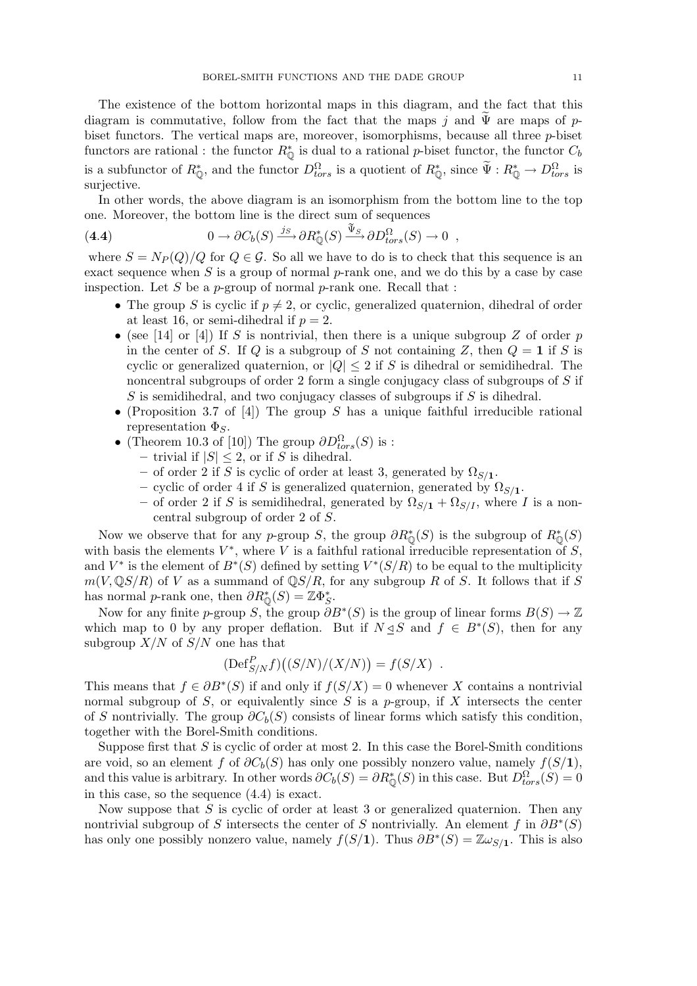The existence of the bottom horizontal maps in this diagram, and the fact that this diagram is commutative, follow from the fact that the maps j and  $\Psi$  are maps of pbiset functors. The vertical maps are, moreover, isomorphisms, because all three  $p$ -biset functors are rational : the functor  $R^*_{\mathbb{Q}}$  is dual to a rational p-biset functor, the functor  $C_b$ is a subfunctor of  $R^*_{\mathbb{Q}}$ , and the functor  $D^{\Omega}_{tors}$  is a quotient of  $R^*_{\mathbb{Q}}$ , since  $\tilde{\Psi}: R^*_{\mathbb{Q}} \to D^{\Omega}_{tors}$  is surjective.

In other words, the above diagram is an isomorphism from the bottom line to the top one. Moreover, the bottom line is the direct sum of sequences

(4.4) 
$$
0 \to \partial C_b(S) \xrightarrow{j_S} \partial R^*_{\mathbb{Q}}(S) \xrightarrow{\tilde{\Psi}_S} \partial D^{\Omega}_{tors}(S) \to 0 ,
$$

where  $S = N_P(Q)/Q$  for  $Q \in \mathcal{G}$ . So all we have to do is to check that this sequence is an exact sequence when  $S$  is a group of normal  $p$ -rank one, and we do this by a case by case inspection. Let  $S$  be a  $p$ -group of normal  $p$ -rank one. Recall that :

- The group S is cyclic if  $p \neq 2$ , or cyclic, generalized quaternion, dihedral of order at least 16, or semi-dihedral if  $p = 2$ .
- (see [14] or [4]) If S is nontrivial, then there is a unique subgroup Z of order p in the center of S. If Q is a subgroup of S not containing Z, then  $Q = 1$  if S is cyclic or generalized quaternion, or  $|Q| \leq 2$  if S is dihedral or semidihedral. The noncentral subgroups of order 2 form a single conjugacy class of subgroups of S if S is semidihedral, and two conjugacy classes of subgroups if  $S$  is dihedral.
- (Proposition 3.7 of [4]) The group S has a unique faithful irreducible rational representation  $\Phi_S$ .
- (Theorem 10.3 of [10]) The group  $\partial D_{tors}^{\Omega}(S)$  is :
	- trivial if  $|S| \leq 2$ , or if S is dihedral.
	- of order 2 if S is cyclic of order at least 3, generated by  $\Omega_{S/1}$ .
	- cyclic of order 4 if S is generalized quaternion, generated by  $\Omega_{S/1}$ .
	- of order 2 if S is semidihedral, generated by  $\Omega_{S/I} + \Omega_{S/I}$ , where I is a noncentral subgroup of order 2 of S.

Now we observe that for any p-group S, the group  $\partial R^*_{\mathbb{Q}}(S)$  is the subgroup of  $R^*_{\mathbb{Q}}(S)$ with basis the elements  $V^*$ , where V is a faithful rational irreducible representation of S, and  $V^*$  is the element of  $B^*(S)$  defined by setting  $V^*(S/R)$  to be equal to the multiplicity  $m(V, \mathbb{Q}S/R)$  of V as a summand of  $\mathbb{Q}S/R$ , for any subgroup R of S. It follows that if S has normal p-rank one, then  $\partial R^*_{\mathbb{Q}}(S) = \mathbb{Z} \Phi_S^*$ .

Now for any finite p-group S, the group  $\partial B^*(S)$  is the group of linear forms  $B(S) \to \mathbb{Z}$ which map to 0 by any proper deflation. But if  $N \leq S$  and  $f \in B^*(S)$ , then for any subgroup  $X/N$  of  $S/N$  one has that

$$
(\text{Def}_{S/N}^P f) \big( (S/N)/(X/N) \big) = f(S/X) .
$$

This means that  $f \in \partial B^*(S)$  if and only if  $f(S/X) = 0$  whenever X contains a nontrivial normal subgroup of S, or equivalently since S is a  $p$ -group, if X intersects the center of S nontrivially. The group  $\partial C_b(S)$  consists of linear forms which satisfy this condition, together with the Borel-Smith conditions.

Suppose first that  $S$  is cyclic of order at most 2. In this case the Borel-Smith conditions are void, so an element f of  $\partial C_b(S)$  has only one possibly nonzero value, namely  $f(S/1)$ , and this value is arbitrary. In other words  $\partial C_b(S) = \partial R^*_{\mathbb{Q}}(S)$  in this case. But  $D^{\Omega}_{tors}(S) = 0$ in this case, so the sequence (4.4) is exact.

Now suppose that  $S$  is cyclic of order at least 3 or generalized quaternion. Then any nontrivial subgroup of S intersects the center of S nontrivially. An element f in  $\partial B^*(S)$ has only one possibly nonzero value, namely  $f(S/1)$ . Thus  $\partial B^*(S) = \mathbb{Z} \omega_{S/1}$ . This is also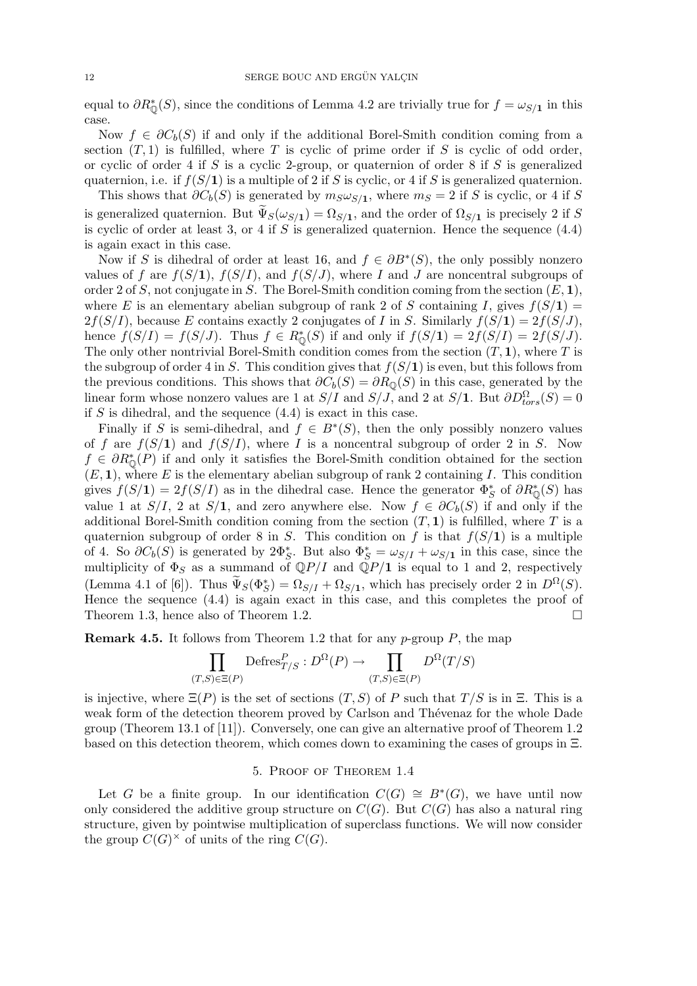equal to  $\partial R^*_{\mathbb{Q}}(S)$ , since the conditions of Lemma 4.2 are trivially true for  $f = \omega_{S/1}$  in this case.

Now  $f \in \partial C_b(S)$  if and only if the additional Borel-Smith condition coming from a section  $(T, 1)$  is fulfilled, where T is cyclic of prime order if S is cyclic of odd order, or cyclic of order 4 if S is a cyclic 2-group, or quaternion of order 8 if S is generalized quaternion, i.e. if  $f(S/1)$  is a multiple of 2 if S is cyclic, or 4 if S is generalized quaternion.

This shows that  $\partial C_b(S)$  is generated by  $m_S \omega_{S/1}$ , where  $m_S = 2$  if S is cyclic, or 4 if S is generalized quaternion. But  $\tilde{\Psi}_S(\omega_{S/1}) = \Omega_{S/1}$ , and the order of  $\Omega_{S/1}$  is precisely 2 if S is cyclic of order at least 3, or 4 if S is generalized quaternion. Hence the sequence  $(4.4)$ is again exact in this case.

Now if S is dihedral of order at least 16, and  $f \in \partial B^*(S)$ , the only possibly nonzero values of f are  $f(S/1)$ ,  $f(S/I)$ , and  $f(S/J)$ , where I and J are noncentral subgroups of order 2 of S, not conjugate in S. The Borel-Smith condition coming from the section  $(E, 1)$ , where E is an elementary abelian subgroup of rank 2 of S containing I, gives  $f(S/1) =$  $2f(S/I)$ , because E contains exactly 2 conjugates of I in S. Similarly  $f(S/I) = 2f(S/J)$ , hence  $f(S/I) = f(S/J)$ . Thus  $f \in R^*_{\mathbb{Q}}(S)$  if and only if  $f(S/\mathbf{1}) = 2f(S/I) = 2f(S/J)$ . The only other nontrivial Borel-Smith condition comes from the section  $(T, 1)$ , where T is the subgroup of order 4 in S. This condition gives that  $f(S/1)$  is even, but this follows from the previous conditions. This shows that  $\partial C_b(S) = \partial R_0(S)$  in this case, generated by the linear form whose nonzero values are 1 at  $S/I$  and  $S/J$ , and 2 at  $S/\mathbf{1}$ . But  $\partial D_{tors}^{\Omega}(S) = 0$ if S is dihedral, and the sequence  $(4.4)$  is exact in this case.

Finally if S is semi-dihedral, and  $f \in B^*(S)$ , then the only possibly nonzero values of f are  $f(S/1)$  and  $f(S/I)$ , where I is a noncentral subgroup of order 2 in S. Now  $f \in \partial R_{\mathbb{Q}}^*(P)$  if and only it satisfies the Borel-Smith condition obtained for the section  $(E, 1)$ , where E is the elementary abelian subgroup of rank 2 containing I. This condition gives  $f(S/\mathbf{1}) = 2f(S/I)$  as in the dihedral case. Hence the generator  $\Phi_S^*$  of  $\partial R^*_{\mathbb{Q}}(S)$  has value 1 at  $S/I$ , 2 at  $S/I$ , and zero anywhere else. Now  $f \in \partial C_b(S)$  if and only if the additional Borel-Smith condition coming from the section  $(T, 1)$  is fulfilled, where T is a quaternion subgroup of order 8 in S. This condition on f is that  $f(S/1)$  is a multiple of 4. So  $\partial C_b(S)$  is generated by  $2\Phi_S^*$ . But also  $\Phi_S^* = \omega_{S/I} + \omega_{S/I}$  in this case, since the multiplicity of  $\Phi_S$  as a summand of  $\mathbb{Q}P/I$  and  $\mathbb{Q}P/I$  is equal to 1 and 2, respectively (Lemma 4.1 of [6]). Thus  $\widetilde{\Psi}_{S}(\Phi_{S}^{*}) = \Omega_{S/I} + \Omega_{S/I}$ , which has precisely order 2 in  $D^{\Omega}(S)$ . Hence the sequence (4.4) is again exact in this case, and this completes the proof of Theorem 1.3, hence also of Theorem 1.2.  $\Box$ 

**Remark 4.5.** It follows from Theorem 1.2 that for any  $p$ -group  $P$ , the map

$$
\prod_{(T,S)\in\Xi(P)} \text{Defres}^P_{T/S} : D^{\Omega}(P) \to \prod_{(T,S)\in\Xi(P)} D^{\Omega}(T/S)
$$

is injective, where  $\Xi(P)$  is the set of sections  $(T, S)$  of P such that  $T/S$  is in  $\Xi$ . This is a weak form of the detection theorem proved by Carlson and Thévenaz for the whole Dade group (Theorem 13.1 of [11]). Conversely, one can give an alternative proof of Theorem 1.2 based on this detection theorem, which comes down to examining the cases of groups in Ξ.

### 5. Proof of Theorem 1.4

Let G be a finite group. In our identification  $C(G) \cong B^*(G)$ , we have until now only considered the additive group structure on  $C(G)$ . But  $C(G)$  has also a natural ring structure, given by pointwise multiplication of superclass functions. We will now consider the group  $C(G)^{\times}$  of units of the ring  $C(G)$ .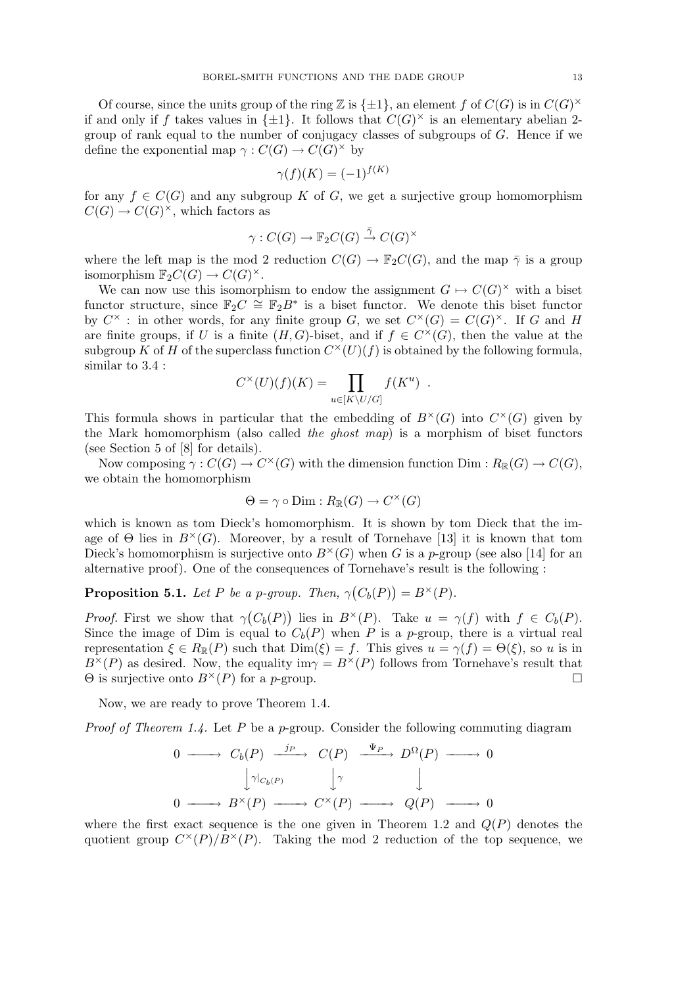Of course, since the units group of the ring Z is  $\{\pm 1\}$ , an element f of  $C(G)$  is in  $C(G)^{\times}$ if and only if f takes values in  $\{\pm 1\}$ . It follows that  $C(G)^{\times}$  is an elementary abelian 2group of rank equal to the number of conjugacy classes of subgroups of G. Hence if we define the exponential map  $\gamma: C(G) \to C(G)^{\times}$  by

$$
\gamma(f)(K) = (-1)^{f(K)}
$$

for any  $f \in C(G)$  and any subgroup K of G, we get a surjective group homomorphism  $C(G) \to C(G)^{\times}$ , which factors as

$$
\gamma:C(G)\to\mathbb{F}_2C(G)\stackrel{\bar{\gamma}}{\to} C(G)^{\times}
$$

where the left map is the mod 2 reduction  $C(G) \to \mathbb{F}_2 C(G)$ , and the map  $\overline{\gamma}$  is a group isomorphism  $\mathbb{F}_2C(G) \to C(G)^{\times}$ .

We can now use this isomorphism to endow the assignment  $G \mapsto C(G)^{\times}$  with a biset functor structure, since  $\mathbb{F}_2 C \cong \mathbb{F}_2 B^*$  is a biset functor. We denote this biset functor by  $C^{\times}$ : in other words, for any finite group G, we set  $C^{\times}(G) = C(G)^{\times}$ . If G and H are finite groups, if U is a finite  $(H, G)$ -biset, and if  $f \in C^{\times}(G)$ , then the value at the subgroup K of H of the superclass function  $C^{\times}(U)(f)$  is obtained by the following formula, similar to 3.4 :

$$
C^{\times}(U)(f)(K) = \prod_{u \in [K \setminus U/G]} f(K^u) .
$$

This formula shows in particular that the embedding of  $B^{\times}(G)$  into  $C^{\times}(G)$  given by the Mark homomorphism (also called the ghost map) is a morphism of biset functors (see Section 5 of [8] for details).

Now composing  $\gamma: C(G) \to C^{\times}(G)$  with the dimension function Dim :  $R_{\mathbb{R}}(G) \to C(G)$ , we obtain the homomorphism

$$
\Theta = \gamma \circ \text{Dim} : R_{\mathbb{R}}(G) \to C^{\times}(G)
$$

which is known as tom Dieck's homomorphism. It is shown by tom Dieck that the image of  $\Theta$  lies in  $B^{\times}(G)$ . Moreover, by a result of Tornehave [13] it is known that tom Dieck's homomorphism is surjective onto  $B^{\times}(G)$  when G is a p-group (see also [14] for an alternative proof). One of the consequences of Tornehave's result is the following :

#### **Proposition 5.1.** Let P be a p-group. Then,  $\gamma$ ¡  $C_b(P)$  $= B^{\times}(P).$

*Proof.* First we show that  $\gamma$ ¡  $C_b(P)$ ) lies in  $B^{\times}(P)$ . Take  $u = \gamma(f)$  with  $f \in C_b(P)$ . Since the image of Dim is equal to  $C_b(P)$  when P is a p-group, there is a virtual real representation  $\xi \in R_{\mathbb{R}}(P)$  such that  $\text{Dim}(\xi) = f$ . This gives  $u = \gamma(f) = \Theta(\xi)$ , so u is in  $B^{\times}(P)$  as desired. Now, the equality im $\gamma = B^{\times}(P)$  follows from Tornehave's result that  $\Theta$  is surjective onto  $B^{\times}(P)$  for a *p*-group.  $\Box$ 

Now, we are ready to prove Theorem 1.4.

*Proof of Theorem 1.4.* Let P be a p-group. Consider the following commuting diagram

$$
0 \longrightarrow C_b(P) \xrightarrow{j_P} C(P) \xrightarrow{\Psi_P} D^{\Omega}(P) \longrightarrow 0
$$
  

$$
\downarrow \gamma|_{C_b(P)} \qquad \downarrow \gamma \qquad \downarrow
$$
  

$$
0 \longrightarrow B^{\times}(P) \longrightarrow C^{\times}(P) \longrightarrow Q(P) \longrightarrow 0
$$

where the first exact sequence is the one given in Theorem 1.2 and  $Q(P)$  denotes the quotient group  $C^{\times}(P)/B^{\times}(P)$ . Taking the mod 2 reduction of the top sequence, we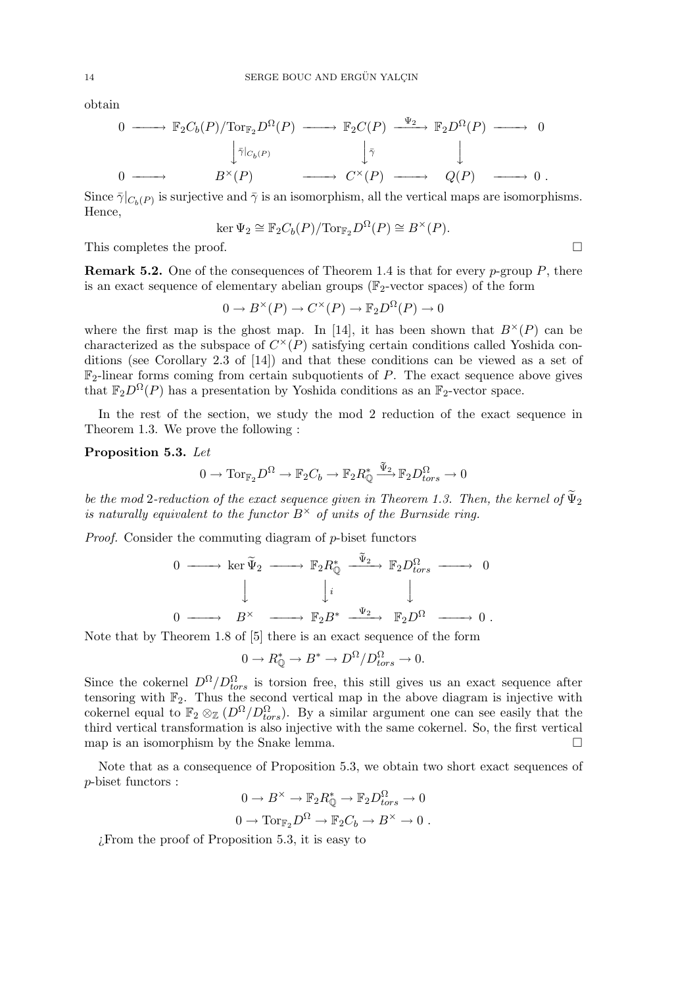obtain

$$
0 \longrightarrow \mathbb{F}_2 C_b(P) / \text{Tor}_{\mathbb{F}_2} D^{\Omega}(P) \longrightarrow \mathbb{F}_2 C(P) \xrightarrow{\Psi_2} \mathbb{F}_2 D^{\Omega}(P) \longrightarrow 0
$$
  

$$
\downarrow \bar{\gamma} |_{C_b(P)} \qquad \qquad \downarrow \bar{\gamma} \qquad \qquad \downarrow
$$
  

$$
0 \longrightarrow B^{\times}(P) \longrightarrow C^{\times}(P) \longrightarrow Q(P) \longrightarrow 0.
$$

Since  $\bar{\gamma}|_{C_b(P)}$  is surjective and  $\bar{\gamma}$  is an isomorphism, all the vertical maps are isomorphisms. Hence,

$$
\ker \Psi_2 \cong \mathbb{F}_2 C_b(P) / \text{Tor}_{\mathbb{F}_2} D^{\Omega}(P) \cong B^{\times}(P).
$$

This completes the proof.  $\Box$ 

**Remark 5.2.** One of the consequences of Theorem 1.4 is that for every p-group  $P$ , there is an exact sequence of elementary abelian groups ( $\mathbb{F}_2$ -vector spaces) of the form

$$
0 \to B^{\times}(P) \to C^{\times}(P) \to \mathbb{F}_2 D^{\Omega}(P) \to 0
$$

where the first map is the ghost map. In [14], it has been shown that  $B^{\times}(P)$  can be characterized as the subspace of  $C^{\times}(P)$  satisfying certain conditions called Yoshida conditions (see Corollary 2.3 of [14]) and that these conditions can be viewed as a set of  $\mathbb{F}_2$ -linear forms coming from certain subquotients of P. The exact sequence above gives that  $\mathbb{F}_2D^{\Omega}(P)$  has a presentation by Yoshida conditions as an  $\mathbb{F}_2$ -vector space.

In the rest of the section, we study the mod 2 reduction of the exact sequence in Theorem 1.3. We prove the following :

Proposition 5.3. Let

$$
0 \to \operatorname{Tor}_{\mathbb{F}_2} D^{\Omega} \to \mathbb{F}_2 C_b \to \mathbb{F}_2 R^*_{\mathbb{Q}} \xrightarrow{\tilde{\Psi}_2} \mathbb{F}_2 D^{\Omega}_{tors} \to 0
$$

be the mod 2-reduction of the exact sequence given in Theorem 1.3. Then, the kernel of  $\tilde{\Psi}_2$ is naturally equivalent to the functor  $B^{\times}$  of units of the Burnside ring.

Proof. Consider the commuting diagram of p-biset functors

$$
\begin{array}{ccccccc}\n0 & \longrightarrow & \ker \widetilde{\Psi}_2 & \longrightarrow & \mathbb{F}_2 R_{\mathbb{Q}}^* & \xrightarrow{\widetilde{\Psi}_2} & \mathbb{F}_2 D_{tors}^{\Omega} & \longrightarrow & 0 \\
& & \downarrow & & \downarrow & & \downarrow \\
0 & \longrightarrow & B^{\times} & \longrightarrow & \mathbb{F}_2 B^* & \xrightarrow{\Psi_2} & \mathbb{F}_2 D^{\Omega} & \longrightarrow & 0 \; .\n\end{array}
$$

Note that by Theorem 1.8 of [5] there is an exact sequence of the form

$$
0 \to R^*_{\mathbb{Q}} \to B^* \to D^{\Omega}/D^{\Omega}_{tors} \to 0.
$$

Since the cokernel  $D^{\Omega}/D_{tors}^{\Omega}$  is torsion free, this still gives us an exact sequence after tensoring with  $\mathbb{F}_2$ . Thus the second vertical map in the above diagram is injective with cokernel equal to  $\mathbb{F}_2 \otimes_{\mathbb{Z}} (D^{\Omega}/D_{tors}^{\Omega})$ . By a similar argument one can see easily that the third vertical transformation is also injective with the same cokernel. So, the first vertical map is an isomorphism by the Snake lemma.  $\Box$ 

Note that as a consequence of Proposition 5.3, we obtain two short exact sequences of p-biset functors :

$$
0 \to B^{\times} \to \mathbb{F}_2 R_{\mathbb{Q}}^* \to \mathbb{F}_2 D_{tors}^{\Omega} \to 0
$$
  

$$
0 \to \text{Tor}_{\mathbb{F}_2} D^{\Omega} \to \mathbb{F}_2 C_b \to B^{\times} \to 0.
$$

¿From the proof of Proposition 5.3, it is easy to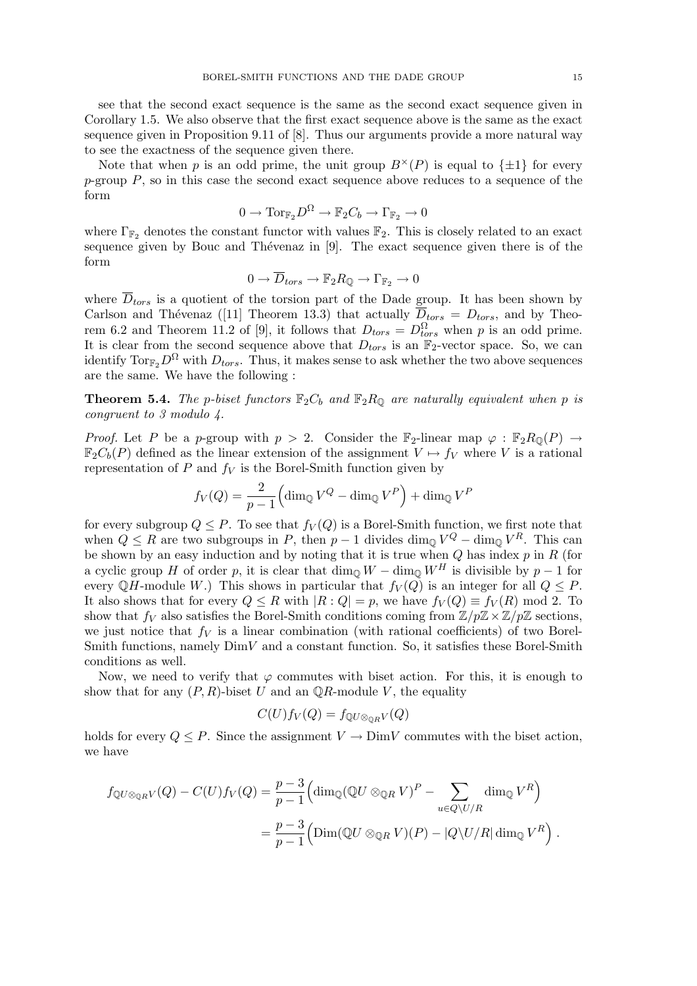see that the second exact sequence is the same as the second exact sequence given in Corollary 1.5. We also observe that the first exact sequence above is the same as the exact sequence given in Proposition 9.11 of [8]. Thus our arguments provide a more natural way to see the exactness of the sequence given there.

Note that when p is an odd prime, the unit group  $B^{\times}(P)$  is equal to  $\{\pm 1\}$  for every  $p$ -group  $P$ , so in this case the second exact sequence above reduces to a sequence of the form

$$
0\to \mathrm{Tor}_{\mathbb{F}_2}D^\Omega\to \mathbb{F}_2C_b\to \Gamma_{\mathbb{F}_2}\to 0
$$

where  $\Gamma_{\mathbb{F}_2}$  denotes the constant functor with values  $\mathbb{F}_2$ . This is closely related to an exact sequence given by Bouc and Thévenaz in  $[9]$ . The exact sequence given there is of the form

$$
0 \to \overline{D}_{tors} \to \mathbb{F}_2 R_{\mathbb{Q}} \to \Gamma_{\mathbb{F}_2} \to 0
$$

where  $\overline{D}_{tors}$  is a quotient of the torsion part of the Dade group. It has been shown by Carlson and Thévenaz ([11] Theorem 13.3) that actually  $\overline{D}_{tors} = D_{tors}$ , and by Theorem 6.2 and Theorem 11.2 of [9], it follows that  $D_{tors} = D_{tors}^{\Omega}$  when p is an odd prime. It is clear from the second sequence above that  $D_{tors}$  is an  $\mathbb{F}_2$ -vector space. So, we can identify  $\text{Tor}_{\mathbb{F}_2}D^{\Omega}$  with  $D_{tors}$ . Thus, it makes sense to ask whether the two above sequences are the same. We have the following :

**Theorem 5.4.** The p-biset functors  $\mathbb{F}_2 C_b$  and  $\mathbb{F}_2 R_0$  are naturally equivalent when p is congruent to 3 modulo 4.

*Proof.* Let P be a p-group with  $p > 2$ . Consider the  $\mathbb{F}_2$ -linear map  $\varphi : \mathbb{F}_2R_{\mathbb{Q}}(P) \rightarrow$  $\mathbb{F}_2C_b(P)$  defined as the linear extension of the assignment  $V \mapsto f_V$  where V is a rational representation of  $P$  and  $f_V$  is the Borel-Smith function given by

$$
f_V(Q) = \frac{2}{p-1} \left( \dim_{\mathbb{Q}} V^Q - \dim_{\mathbb{Q}} V^P \right) + \dim_{\mathbb{Q}} V^P
$$

for every subgroup  $Q \leq P$ . To see that  $f_V(Q)$  is a Borel-Smith function, we first note that when  $Q \leq R$  are two subgroups in P, then  $p-1$  divides  $\dim_{\mathbb{Q}} V^Q - \dim_{\mathbb{Q}} V^R$ . This can be shown by an easy induction and by noting that it is true when  $Q$  has index  $p$  in  $R$  (for a cyclic group H of order p, it is clear that  $\dim_{\mathbb{Q}} W - \dim_{\mathbb{Q}} W^H$  is divisible by  $p - 1$  for every QH-module W.) This shows in particular that  $f_V(Q)$  is an integer for all  $Q \leq P$ . It also shows that for every  $Q \leq R$  with  $|R: Q| = p$ , we have  $f_V(Q) \equiv f_V(R) \mod 2$ . To show that  $f_V$  also satisfies the Borel-Smith conditions coming from  $\mathbb{Z}/p\mathbb{Z}\times\mathbb{Z}/p\mathbb{Z}$  sections, we just notice that  $f_V$  is a linear combination (with rational coefficients) of two Borel-Smith functions, namely  $DimV$  and a constant function. So, it satisfies these Borel-Smith conditions as well.

Now, we need to verify that  $\varphi$  commutes with biset action. For this, it is enough to show that for any  $(P, R)$ -biset U and an  $\mathbb{Q}R$ -module V, the equality

$$
C(U)f_V(Q) = f_{\mathbb{Q}U \otimes_{\mathbb{Q}R}V}(Q)
$$

holds for every  $Q \leq P$ . Since the assignment  $V \to \text{Dim } V$  commutes with the biset action, we have

$$
f_{\mathbb{Q}U\otimes_{\mathbb{Q}R}V}(Q) - C(U)f_V(Q) = \frac{p-3}{p-1} \Big(\dim_{\mathbb{Q}}(\mathbb{Q}U\otimes_{\mathbb{Q}R}V)^P - \sum_{u\in Q\setminus U/R} \dim_{\mathbb{Q}}V^R\Big) = \frac{p-3}{p-1} \Big(\text{Dim}(\mathbb{Q}U\otimes_{\mathbb{Q}R}V)(P) - |Q\setminus U/R| \dim_{\mathbb{Q}}V^R\Big) .
$$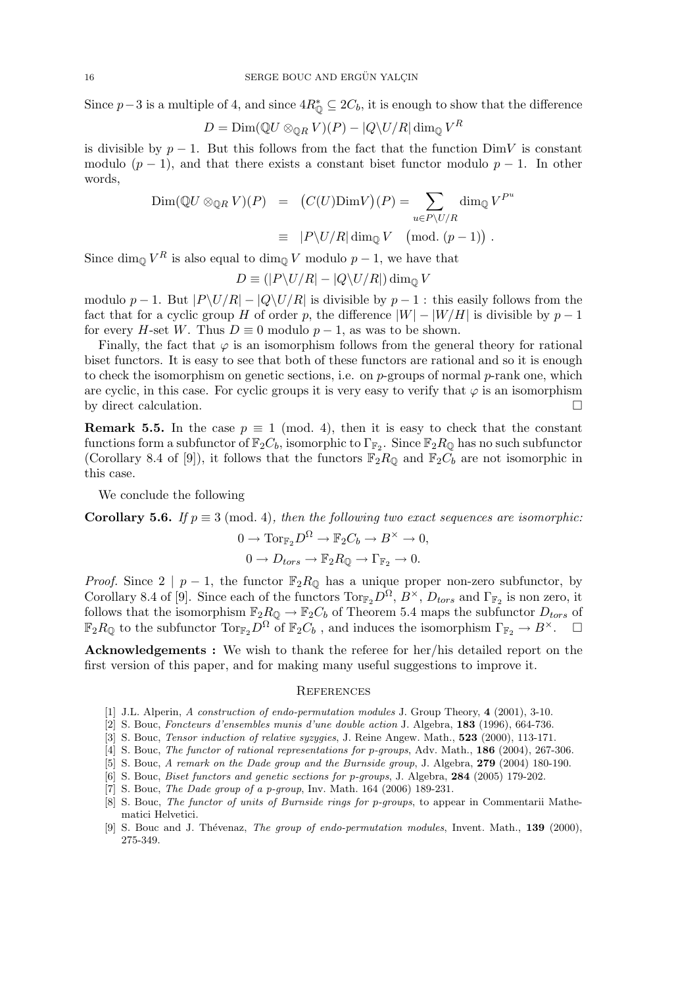Since  $p-3$  is a multiple of 4, and since  $4R^*_{\mathbb{Q}} \subseteq 2C_b$ , it is enough to show that the difference

$$
D = \text{Dim}({\mathbb Q} U \otimes_{{\mathbb Q} R} V)(P) - |Q \backslash U/R| \dim_{{\mathbb Q}} V^R
$$

is divisible by  $p-1$ . But this follows from the fact that the function DimV is constant modulo  $(p-1)$ , and that there exists a constant biset functor modulo  $p-1$ . In other words,

$$
\begin{array}{rcl}\n\text{Dim}(\mathbb{Q}U \otimes_{\mathbb{Q}R} V)(P) & = & \left(C(U)\text{Dim}V\right)(P) = \sum_{u \in P \setminus U/R} \dim_{\mathbb{Q}} V^{P^u} \\
& \equiv & |P \setminus U/R| \dim_{\mathbb{Q}} V \pmod{(p-1)}\n\end{array}
$$

Since  $\dim_{\mathbb{Q}} V^R$  is also equal to  $\dim_{\mathbb{Q}} V$  modulo  $p-1$ , we have that

$$
D \equiv (|P\backslash U/R| - |Q\backslash U/R|) \dim_{\mathbb{Q}} V
$$

modulo p − 1. But  $|P\setminus U/R| - |Q\setminus U/R|$  is divisible by p − 1 : this easily follows from the fact that for a cyclic group H of order p, the difference  $|W| - |W/H|$  is divisible by  $p - 1$ for every H-set W. Thus  $D \equiv 0$  modulo  $p - 1$ , as was to be shown.

Finally, the fact that  $\varphi$  is an isomorphism follows from the general theory for rational biset functors. It is easy to see that both of these functors are rational and so it is enough to check the isomorphism on genetic sections, i.e. on  $p$ -groups of normal  $p$ -rank one, which are cyclic, in this case. For cyclic groups it is very easy to verify that  $\varphi$  is an isomorphism by direct calculation.  $\Box$ 

**Remark 5.5.** In the case  $p \equiv 1 \pmod{4}$ , then it is easy to check that the constant functions form a subfunctor of  $\mathbb{F}_2 C_b$ , isomorphic to  $\Gamma_{\mathbb{F}_2}$ . Since  $\mathbb{F}_2 R_{\mathbb{Q}}$  has no such subfunctor (Corollary 8.4 of [9]), it follows that the functors  $\mathbb{F}_2R_{\mathbb{Q}}$  and  $\mathbb{F}_2C_b$  are not isomorphic in this case.

We conclude the following

Corollary 5.6. If  $p \equiv 3 \pmod{4}$ , then the following two exact sequences are isomorphic:

$$
0 \to \operatorname{Tor}_{\mathbb{F}_2} D^{\Omega} \to \mathbb{F}_2 C_b \to B^{\times} \to 0,
$$
  

$$
0 \to D_{tors} \to \mathbb{F}_2 R_{\mathbb{Q}} \to \Gamma_{\mathbb{F}_2} \to 0.
$$

*Proof.* Since  $2 \mid p-1$ , the functor  $\mathbb{F}_2R_{\mathbb{Q}}$  has a unique proper non-zero subfunctor, by Corollary 8.4 of [9]. Since each of the functors  $\text{Tor}_{\mathbb{F}_2}D^{\Omega}, B^{\times}, D_{tors}$  and  $\Gamma_{\mathbb{F}_2}$  is non zero, it follows that the isomorphism  $\mathbb{F}_2R_{\mathbb{Q}} \to \mathbb{F}_2C_b$  of Theorem 5.4 maps the subfunctor  $D_{tors}$  of  $\mathbb{F}_2R_{\mathbb{Q}}$  to the subfunctor  $\operatorname{Tor}_{\mathbb{F}_2}\tilde{D}^{\Omega}$  of  $\mathbb{F}_2C_b$ , and induces the isomorphism  $\Gamma_{\mathbb{F}_2} \to B^{\times}$ .  $\Box$ 

Acknowledgements : We wish to thank the referee for her/his detailed report on the first version of this paper, and for making many useful suggestions to improve it.

### **REFERENCES**

- [1] J.L. Alperin, A construction of endo-permutation modules J. Group Theory, 4 (2001), 3-10.
- [2] S. Bouc, Foncteurs d'ensembles munis d'une double action J. Algebra, 183 (1996), 664-736.
- [3] S. Bouc, *Tensor induction of relative syzygies*, J. Reine Angew. Math., **523** (2000), 113-171.
- [4] S. Bouc, The functor of rational representations for p-groups, Adv. Math., **186** (2004), 267-306.
- [5] S. Bouc, A remark on the Dade group and the Burnside group, J. Algebra, 279 (2004) 180-190.
- [6] S. Bouc, Biset functors and genetic sections for p-groups, J. Algebra, 284 (2005) 179-202.
- [7] S. Bouc, *The Dade group of a p-group*, Inv. Math. 164 (2006) 189-231.
- [8] S. Bouc, *The functor of units of Burnside rings for p-groups*, to appear in Commentarii Mathematici Helvetici.
- [9] S. Bouc and J. Thévenaz, *The group of endo-permutation modules*, Invent. Math., 139 (2000), 275-349.